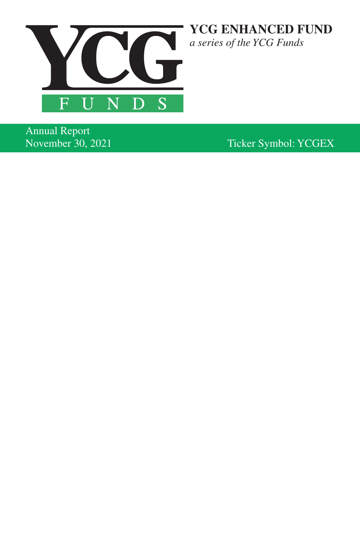

Annual Report<br>November 30, 2021

Ticker Symbol: YCGEX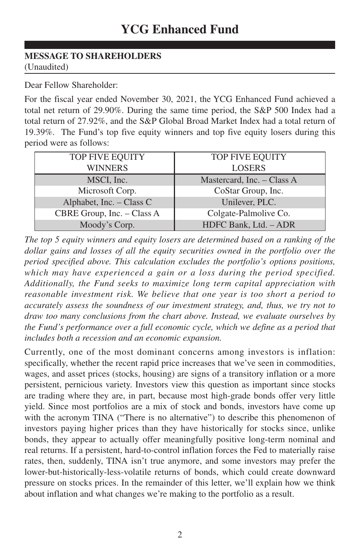#### **MESSAGE TO SHAREHOLDERS** (Unaudited)

Dear Fellow Shareholder:

For the fiscal year ended November 30, 2021, the YCG Enhanced Fund achieved a total net return of 29.90%. During the same time period, the S&P 500 Index had a total return of 27.92%, and the S&P Global Broad Market Index had a total return of 19.39%. The Fund's top five equity winners and top five equity losers during this period were as follows:

| TOP FIVE EQUITY            | TOP FIVE EQUITY            |  |
|----------------------------|----------------------------|--|
| <b>WINNERS</b>             | <b>LOSERS</b>              |  |
| MSCI, Inc.                 | Mastercard, Inc. - Class A |  |
| Microsoft Corp.            | CoStar Group, Inc.         |  |
| Alphabet, Inc. - Class C   | Unilever, PLC.             |  |
| CBRE Group, Inc. - Class A | Colgate-Palmolive Co.      |  |
| Moody's Corp.              | HDFC Bank, Ltd. - ADR      |  |

*The top 5 equity winners and equity losers are determined based on a ranking of the dollar gains and losses of all the equity securities owned in the portfolio over the period specified above. This calculation excludes the portfolio's options positions, which may have experienced a gain or a loss during the period specified. Additionally, the Fund seeks to maximize long term capital appreciation with reasonable investment risk. We believe that one year is too short a period to accurately assess the soundness of our investment strategy, and, thus, we try not to draw too many conclusions from the chart above. Instead, we evaluate ourselves by the Fund's performance over a full economic cycle, which we define as a period that includes both a recession and an economic expansion.*

Currently, one of the most dominant concerns among investors is inflation: specifically, whether the recent rapid price increases that we've seen in commodities, wages, and asset prices (stocks, housing) are signs of a transitory inflation or a more persistent, pernicious variety. Investors view this question as important since stocks are trading where they are, in part, because most high-grade bonds offer very little yield. Since most portfolios are a mix of stock and bonds, investors have come up with the acronym TINA ("There is no alternative") to describe this phenomenon of investors paying higher prices than they have historically for stocks since, unlike bonds, they appear to actually offer meaningfully positive long-term nominal and real returns. If a persistent, hard-to-control inflation forces the Fed to materially raise rates, then, suddenly, TINA isn't true anymore, and some investors may prefer the lower-but-historically-less-volatile returns of bonds, which could create downward pressure on stocks prices. In the remainder of this letter, we'll explain how we think about inflation and what changes we're making to the portfolio as a result.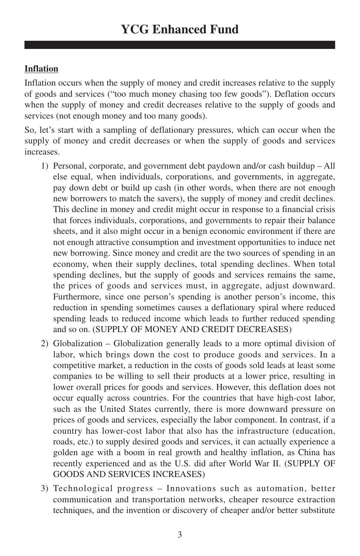## **Inflation**

Inflation occurs when the supply of money and credit increases relative to the supply of goods and services ("too much money chasing too few goods"). Deflation occurs when the supply of money and credit decreases relative to the supply of goods and services (not enough money and too many goods).

So, let's start with a sampling of deflationary pressures, which can occur when the supply of money and credit decreases or when the supply of goods and services increases.

- 1) Personal, corporate, and government debt paydown and/or cash buildup All else equal, when individuals, corporations, and governments, in aggregate, pay down debt or build up cash (in other words, when there are not enough new borrowers to match the savers), the supply of money and credit declines. This decline in money and credit might occur in response to a financial crisis that forces individuals, corporations, and governments to repair their balance sheets, and it also might occur in a benign economic environment if there are not enough attractive consumption and investment opportunities to induce net new borrowing. Since money and credit are the two sources of spending in an economy, when their supply declines, total spending declines. When total spending declines, but the supply of goods and services remains the same, the prices of goods and services must, in aggregate, adjust downward. Furthermore, since one person's spending is another person's income, this reduction in spending sometimes causes a deflationary spiral where reduced spending leads to reduced income which leads to further reduced spending and so on. (SUPPLY OF MONEY AND CREDIT DECREASES)
- 2) Globalization Globalization generally leads to a more optimal division of labor, which brings down the cost to produce goods and services. In a competitive market, a reduction in the costs of goods sold leads at least some companies to be willing to sell their products at a lower price, resulting in lower overall prices for goods and services. However, this deflation does not occur equally across countries. For the countries that have high-cost labor, such as the United States currently, there is more downward pressure on prices of goods and services, especially the labor component. In contrast, if a country has lower-cost labor that also has the infrastructure (education, roads, etc.) to supply desired goods and services, it can actually experience a golden age with a boom in real growth and healthy inflation, as China has recently experienced and as the U.S. did after World War II. (SUPPLY OF GOODS AND SERVICES INCREASES)
- 3) Technological progress Innovations such as automation, better communication and transportation networks, cheaper resource extraction techniques, and the invention or discovery of cheaper and/or better substitute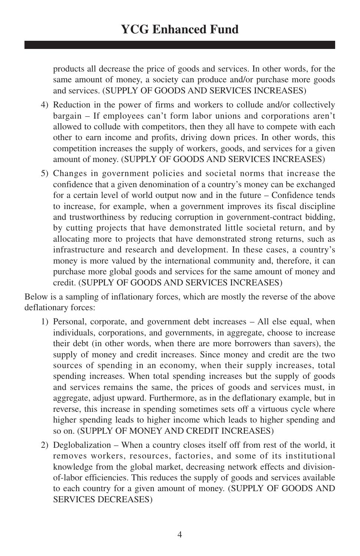products all decrease the price of goods and services. In other words, for the same amount of money, a society can produce and/or purchase more goods and services. (SUPPLY OF GOODS AND SERVICES INCREASES)

- 4) Reduction in the power of firms and workers to collude and/or collectively bargain – If employees can't form labor unions and corporations aren't allowed to collude with competitors, then they all have to compete with each other to earn income and profits, driving down prices. In other words, this competition increases the supply of workers, goods, and services for a given amount of money. (SUPPLY OF GOODS AND SERVICES INCREASES)
- 5) Changes in government policies and societal norms that increase the confidence that a given denomination of a country's money can be exchanged for a certain level of world output now and in the future – Confidence tends to increase, for example, when a government improves its fiscal discipline and trustworthiness by reducing corruption in government-contract bidding, by cutting projects that have demonstrated little societal return, and by allocating more to projects that have demonstrated strong returns, such as infrastructure and research and development. In these cases, a country's money is more valued by the international community and, therefore, it can purchase more global goods and services for the same amount of money and credit. (SUPPLY OF GOODS AND SERVICES INCREASES)

Below is a sampling of inflationary forces, which are mostly the reverse of the above deflationary forces:

- 1) Personal, corporate, and government debt increases All else equal, when individuals, corporations, and governments, in aggregate, choose to increase their debt (in other words, when there are more borrowers than savers), the supply of money and credit increases. Since money and credit are the two sources of spending in an economy, when their supply increases, total spending increases. When total spending increases but the supply of goods and services remains the same, the prices of goods and services must, in aggregate, adjust upward. Furthermore, as in the deflationary example, but in reverse, this increase in spending sometimes sets off a virtuous cycle where higher spending leads to higher income which leads to higher spending and so on. (SUPPLY OF MONEY AND CREDIT INCREASES)
- 2) Deglobalization When a country closes itself off from rest of the world, it removes workers, resources, factories, and some of its institutional knowledge from the global market, decreasing network effects and divisionof-labor efficiencies. This reduces the supply of goods and services available to each country for a given amount of money. (SUPPLY OF GOODS AND SERVICES DECREASES)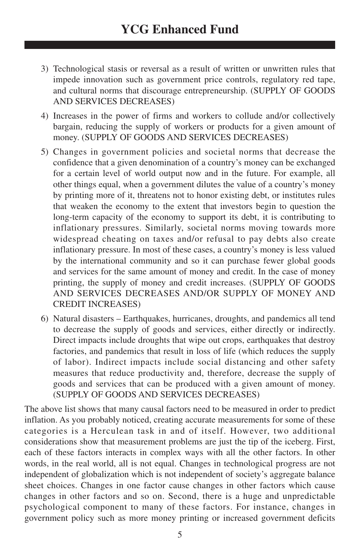- 3) Technological stasis or reversal as a result of written or unwritten rules that impede innovation such as government price controls, regulatory red tape, and cultural norms that discourage entrepreneurship. (SUPPLY OF GOODS AND SERVICES DECREASES)
- 4) Increases in the power of firms and workers to collude and/or collectively bargain, reducing the supply of workers or products for a given amount of money. (SUPPLY OF GOODS AND SERVICES DECREASES)
- 5) Changes in government policies and societal norms that decrease the confidence that a given denomination of a country's money can be exchanged for a certain level of world output now and in the future. For example, all other things equal, when a government dilutes the value of a country's money by printing more of it, threatens not to honor existing debt, or institutes rules that weaken the economy to the extent that investors begin to question the long-term capacity of the economy to support its debt, it is contributing to inflationary pressures. Similarly, societal norms moving towards more widespread cheating on taxes and/or refusal to pay debts also create inflationary pressure. In most of these cases, a country's money is less valued by the international community and so it can purchase fewer global goods and services for the same amount of money and credit. In the case of money printing, the supply of money and credit increases. (SUPPLY OF GOODS AND SERVICES DECREASES AND/OR SUPPLY OF MONEY AND CREDIT INCREASES)
- 6) Natural disasters Earthquakes, hurricanes, droughts, and pandemics all tend to decrease the supply of goods and services, either directly or indirectly. Direct impacts include droughts that wipe out crops, earthquakes that destroy factories, and pandemics that result in loss of life (which reduces the supply of labor). Indirect impacts include social distancing and other safety measures that reduce productivity and, therefore, decrease the supply of goods and services that can be produced with a given amount of money. (SUPPLY OF GOODS AND SERVICES DECREASES)

The above list shows that many causal factors need to be measured in order to predict inflation. As you probably noticed, creating accurate measurements for some of these categories is a Herculean task in and of itself. However, two additional considerations show that measurement problems are just the tip of the iceberg. First, each of these factors interacts in complex ways with all the other factors. In other words, in the real world, all is not equal. Changes in technological progress are not independent of globalization which is not independent of society's aggregate balance sheet choices. Changes in one factor cause changes in other factors which cause changes in other factors and so on. Second, there is a huge and unpredictable psychological component to many of these factors. For instance, changes in government policy such as more money printing or increased government deficits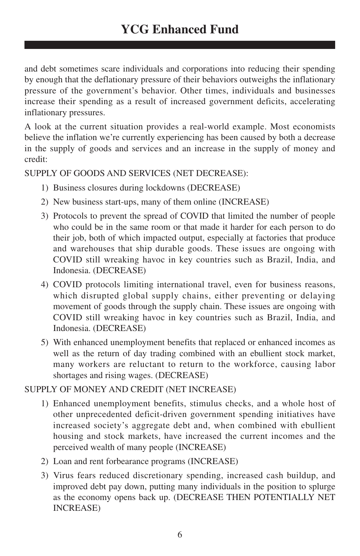and debt sometimes scare individuals and corporations into reducing their spending by enough that the deflationary pressure of their behaviors outweighs the inflationary pressure of the government's behavior. Other times, individuals and businesses increase their spending as a result of increased government deficits, accelerating inflationary pressures.

A look at the current situation provides a real-world example. Most economists believe the inflation we're currently experiencing has been caused by both a decrease in the supply of goods and services and an increase in the supply of money and credit:

SUPPLY OF GOODS AND SERVICES (NET DECREASE):

- 1) Business closures during lockdowns (DECREASE)
- 2) New business start-ups, many of them online (INCREASE)
- 3) Protocols to prevent the spread of COVID that limited the number of people who could be in the same room or that made it harder for each person to do their job, both of which impacted output, especially at factories that produce and warehouses that ship durable goods. These issues are ongoing with COVID still wreaking havoc in key countries such as Brazil, India, and Indonesia. (DECREASE)
- 4) COVID protocols limiting international travel, even for business reasons, which disrupted global supply chains, either preventing or delaying movement of goods through the supply chain. These issues are ongoing with COVID still wreaking havoc in key countries such as Brazil, India, and Indonesia. (DECREASE)
- 5) With enhanced unemployment benefits that replaced or enhanced incomes as well as the return of day trading combined with an ebullient stock market, many workers are reluctant to return to the workforce, causing labor shortages and rising wages. (DECREASE)

#### SUPPLY OF MONEY AND CREDIT (NET INCREASE)

- 1) Enhanced unemployment benefits, stimulus checks, and a whole host of other unprecedented deficit-driven government spending initiatives have increased society's aggregate debt and, when combined with ebullient housing and stock markets, have increased the current incomes and the perceived wealth of many people (INCREASE)
- 2) Loan and rent forbearance programs (INCREASE)
- 3) Virus fears reduced discretionary spending, increased cash buildup, and improved debt pay down, putting many individuals in the position to splurge as the economy opens back up. (DECREASE THEN POTENTIALLY NET INCREASE)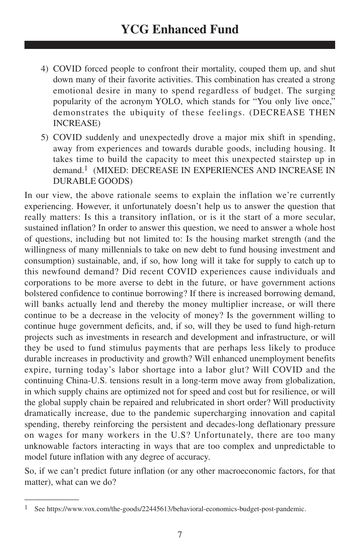- 4) COVID forced people to confront their mortality, couped them up, and shut down many of their favorite activities. This combination has created a strong emotional desire in many to spend regardless of budget. The surging popularity of the acronym YOLO, which stands for "You only live once," demonstrates the ubiquity of these feelings. (DECREASE THEN INCREASE)
- 5) COVID suddenly and unexpectedly drove a major mix shift in spending, away from experiences and towards durable goods, including housing. It takes time to build the capacity to meet this unexpected stairstep up in demand. 1 (MIXED: DECREASE IN EXPERIENCES AND INCREASE IN DURABLE GOODS)

In our view, the above rationale seems to explain the inflation we're currently experiencing. However, it unfortunately doesn't help us to answer the question that really matters: Is this a transitory inflation, or is it the start of a more secular, sustained inflation? In order to answer this question, we need to answer a whole host of questions, including but not limited to: Is the housing market strength (and the willingness of many millennials to take on new debt to fund housing investment and consumption) sustainable, and, if so, how long will it take for supply to catch up to this newfound demand? Did recent COVID experiences cause individuals and corporations to be more averse to debt in the future, or have government actions bolstered confidence to continue borrowing? If there is increased borrowing demand, will banks actually lend and thereby the money multiplier increase, or will there continue to be a decrease in the velocity of money? Is the government willing to continue huge government deficits, and, if so, will they be used to fund high-return projects such as investments in research and development and infrastructure, or will they be used to fund stimulus payments that are perhaps less likely to produce durable increases in productivity and growth? Will enhanced unemployment benefits expire, turning today's labor shortage into a labor glut? Will COVID and the continuing China-U.S. tensions result in a long-term move away from globalization, in which supply chains are optimized not for speed and cost but for resilience, or will the global supply chain be repaired and relubricated in short order? Will productivity dramatically increase, due to the pandemic supercharging innovation and capital spending, thereby reinforcing the persistent and decades-long deflationary pressure on wages for many workers in the U.S? Unfortunately, there are too many unknowable factors interacting in ways that are too complex and unpredictable to model future inflation with any degree of accuracy.

So, if we can't predict future inflation (or any other macroeconomic factors, for that matter), what can we do?

\_\_\_\_\_\_\_\_\_\_\_\_

<sup>1</sup> See https://www.vox.com/the-goods/22445613/behavioral-economics-budget-post-pandemic.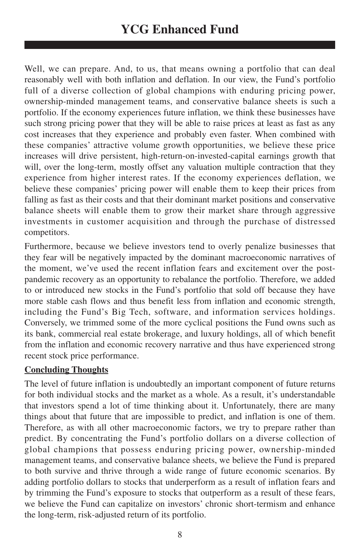Well, we can prepare. And, to us, that means owning a portfolio that can deal reasonably well with both inflation and deflation. In our view, the Fund's portfolio full of a diverse collection of global champions with enduring pricing power, ownership-minded management teams, and conservative balance sheets is such a portfolio. If the economy experiences future inflation, we think these businesses have such strong pricing power that they will be able to raise prices at least as fast as any cost increases that they experience and probably even faster. When combined with these companies' attractive volume growth opportunities, we believe these price increases will drive persistent, high-return-on-invested-capital earnings growth that will, over the long-term, mostly offset any valuation multiple contraction that they experience from higher interest rates. If the economy experiences deflation, we believe these companies' pricing power will enable them to keep their prices from falling as fast as their costs and that their dominant market positions and conservative balance sheets will enable them to grow their market share through aggressive investments in customer acquisition and through the purchase of distressed competitors.

Furthermore, because we believe investors tend to overly penalize businesses that they fear will be negatively impacted by the dominant macroeconomic narratives of the moment, we've used the recent inflation fears and excitement over the postpandemic recovery as an opportunity to rebalance the portfolio. Therefore, we added to or introduced new stocks in the Fund's portfolio that sold off because they have more stable cash flows and thus benefit less from inflation and economic strength, including the Fund's Big Tech, software, and information services holdings. Conversely, we trimmed some of the more cyclical positions the Fund owns such as its bank, commercial real estate brokerage, and luxury holdings, all of which benefit from the inflation and economic recovery narrative and thus have experienced strong recent stock price performance.

## **Concluding Thoughts**

The level of future inflation is undoubtedly an important component of future returns for both individual stocks and the market as a whole. As a result, it's understandable that investors spend a lot of time thinking about it. Unfortunately, there are many things about that future that are impossible to predict, and inflation is one of them. Therefore, as with all other macroeconomic factors, we try to prepare rather than predict. By concentrating the Fund's portfolio dollars on a diverse collection of global champions that possess enduring pricing power, ownership-minded management teams, and conservative balance sheets, we believe the Fund is prepared to both survive and thrive through a wide range of future economic scenarios. By adding portfolio dollars to stocks that underperform as a result of inflation fears and by trimming the Fund's exposure to stocks that outperform as a result of these fears, we believe the Fund can capitalize on investors' chronic short-termism and enhance the long-term, risk-adjusted return of its portfolio.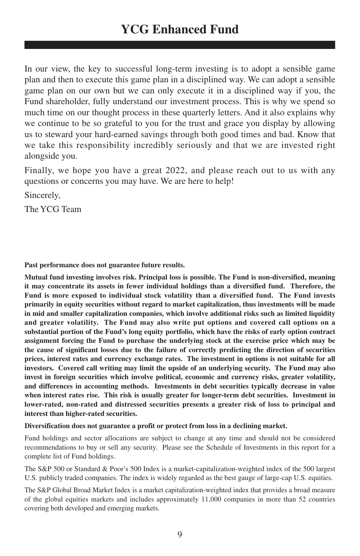In our view, the key to successful long-term investing is to adopt a sensible game plan and then to execute this game plan in a disciplined way. We can adopt a sensible game plan on our own but we can only execute it in a disciplined way if you, the Fund shareholder, fully understand our investment process. This is why we spend so much time on our thought process in these quarterly letters. And it also explains why we continue to be so grateful to you for the trust and grace you display by allowing us to steward your hard-earned savings through both good times and bad. Know that we take this responsibility incredibly seriously and that we are invested right alongside you.

Finally, we hope you have a great 2022, and please reach out to us with any questions or concerns you may have. We are here to help!

Sincerely,

The YCG Team

**Past performance does not guarantee future results.**

**Mutual fund investing involves risk. Principal loss is possible. The Fund is non-diversified, meaning it may concentrate its assets in fewer individual holdings than a diversified fund. Therefore, the Fund is more exposed to individual stock volatility than a diversified fund. The Fund invests primarily in equity securities without regard to market capitalization, thus investments will be made in mid and smaller capitalization companies, which involve additional risks such as limited liquidity and greater volatility. The Fund may also write put options and covered call options on a substantial portion of the Fund's long equity portfolio, which have the risks of early option contract assignment forcing the Fund to purchase the underlying stock at the exercise price which may be the cause of significant losses due to the failure of correctly predicting the direction of securities prices, interest rates and currency exchange rates. The investment in options is not suitable for all investors. Covered call writing may limit the upside of an underlying security. The Fund may also invest in foreign securities which involve political, economic and currency risks, greater volatility, and differences in accounting methods. Investments in debt securities typically decrease in value when interest rates rise. This risk is usually greater for longer-term debt securities. Investment in lower-rated, non-rated and distressed securities presents a greater risk of loss to principal and interest than higher-rated securities.**

#### **Diversification does not guarantee a profit or protect from loss in a declining market.**

Fund holdings and sector allocations are subject to change at any time and should not be considered recommendations to buy or sell any security. Please see the Schedule of Investments in this report for a complete list of Fund holdings.

The S&P 500 or Standard & Poor's 500 Index is a market-capitalization-weighted index of the 500 largest U.S. publicly traded companies. The index is widely regarded as the best gauge of large-cap U.S. equities.

The S&P Global Broad Market Index is a market capitalization-weighted index that provides a broad measure of the global equities markets and includes approximately 11,000 companies in more than 52 countries covering both developed and emerging markets.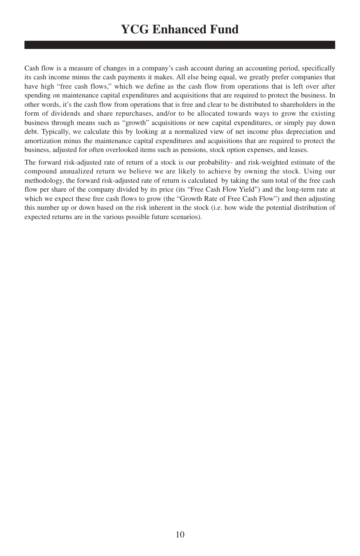Cash flow is a measure of changes in a company's cash account during an accounting period, specifically its cash income minus the cash payments it makes. All else being equal, we greatly prefer companies that have high "free cash flows," which we define as the cash flow from operations that is left over after spending on maintenance capital expenditures and acquisitions that are required to protect the business. In other words, it's the cash flow from operations that is free and clear to be distributed to shareholders in the form of dividends and share repurchases, and/or to be allocated towards ways to grow the existing business through means such as "growth" acquisitions or new capital expenditures, or simply pay down debt. Typically, we calculate this by looking at a normalized view of net income plus depreciation and amortization minus the maintenance capital expenditures and acquisitions that are required to protect the business, adjusted for often overlooked items such as pensions, stock option expenses, and leases.

The forward risk-adjusted rate of return of a stock is our probability- and risk-weighted estimate of the compound annualized return we believe we are likely to achieve by owning the stock. Using our methodology, the forward risk-adjusted rate of return is calculated by taking the sum total of the free cash flow per share of the company divided by its price (its "Free Cash Flow Yield") and the long-term rate at which we expect these free cash flows to grow (the "Growth Rate of Free Cash Flow") and then adjusting this number up or down based on the risk inherent in the stock (i.e. how wide the potential distribution of expected returns are in the various possible future scenarios).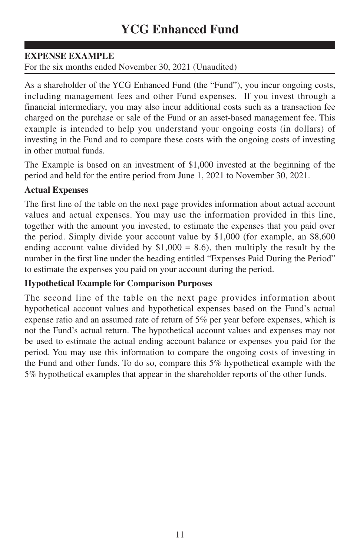## **EXPENSE EXAMPLE**

For the six months ended November 30, 2021 (Unaudited)

As a shareholder of the YCG Enhanced Fund (the "Fund"), you incur ongoing costs, including management fees and other Fund expenses. If you invest through a financial intermediary, you may also incur additional costs such as a transaction fee charged on the purchase or sale of the Fund or an asset-based management fee. This example is intended to help you understand your ongoing costs (in dollars) of investing in the Fund and to compare these costs with the ongoing costs of investing in other mutual funds.

The Example is based on an investment of \$1,000 invested at the beginning of the period and held for the entire period from June 1, 2021 to November 30, 2021.

### **Actual Expenses**

The first line of the table on the next page provides information about actual account values and actual expenses. You may use the information provided in this line, together with the amount you invested, to estimate the expenses that you paid over the period. Simply divide your account value by \$1,000 (for example, an \$8,600 ending account value divided by  $$1,000 = 8.6$ ), then multiply the result by the number in the first line under the heading entitled "Expenses Paid During the Period" to estimate the expenses you paid on your account during the period.

## **Hypothetical Example for Comparison Purposes**

The second line of the table on the next page provides information about hypothetical account values and hypothetical expenses based on the Fund's actual expense ratio and an assumed rate of return of 5% per year before expenses, which is not the Fund's actual return. The hypothetical account values and expenses may not be used to estimate the actual ending account balance or expenses you paid for the period. You may use this information to compare the ongoing costs of investing in the Fund and other funds. To do so, compare this 5% hypothetical example with the 5% hypothetical examples that appear in the shareholder reports of the other funds.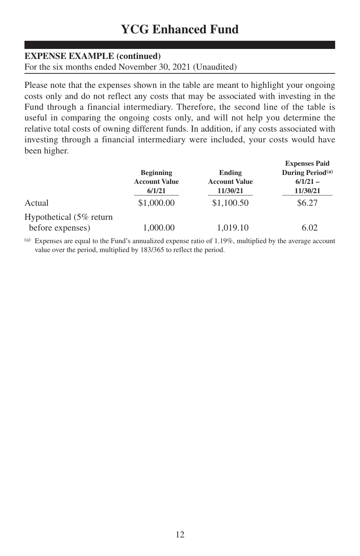## **EXPENSE EXAMPLE (continued)**

For the six months ended November 30, 2021 (Unaudited)

Please note that the expenses shown in the table are meant to highlight your ongoing costs only and do not reflect any costs that may be associated with investing in the Fund through a financial intermediary. Therefore, the second line of the table is useful in comparing the ongoing costs only, and will not help you determine the relative total costs of owning different funds. In addition, if any costs associated with investing through a financial intermediary were included, your costs would have been higher.

|                                             | <b>Beginning</b><br><b>Account Value</b><br>6/1/21 | Ending<br><b>Account Value</b><br>11/30/21 | <b>Expenses Paid</b><br>During Period <sup>(a)</sup><br>$6/1/21 -$<br>11/30/21 |
|---------------------------------------------|----------------------------------------------------|--------------------------------------------|--------------------------------------------------------------------------------|
| Actual                                      | \$1,000.00                                         | \$1,100.50                                 | \$6.27                                                                         |
| Hypothetical (5% return<br>before expenses) | 1,000.00                                           | 1,019.10                                   | 6.02                                                                           |

(a) Expenses are equal to the Fund's annualized expense ratio of 1.19%, multiplied by the average account value over the period, multiplied by 183/365 to reflect the period.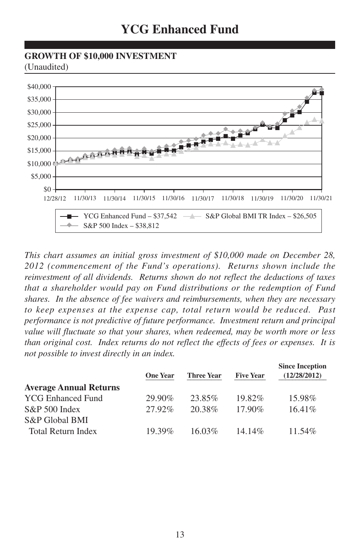

**GROWTH OF \$10,000 INVESTMENT** (Unaudited)

*This chart assumes an initial gross investment of \$10,000 made on December 28, 2012 (commencement of the Fund's operations). Returns shown include the reinvestment of all dividends. Returns shown do not reflect the deductions of taxes that a shareholder would pay on Fund distributions or the redemption of Fund shares. In the absence of fee waivers and reimbursements, when they are necessary to keep expenses at the expense cap, total return would be reduced. Past performance is not predictive of future performance. Investment return and principal value will fluctuate so that your shares, when redeemed, may be worth more or less than original cost. Index returns do not reflect the effects of fees or expenses. It is not possible to invest directly in an index.*

|                               | <b>One Year</b> | <b>Three Year</b> | <b>Five Year</b> | <b>Since Inception</b><br>(12/28/2012) |
|-------------------------------|-----------------|-------------------|------------------|----------------------------------------|
| <b>Average Annual Returns</b> |                 |                   |                  |                                        |
| <b>YCG Enhanced Fund</b>      | 29.90%          | 23.85%            | 19.82%           | 15.98%                                 |
| $S\&P 500$ Index              | 27.92%          | 20.38%            | $17.90\%$        | $16.41\%$                              |
| S&P Global BMI                |                 |                   |                  |                                        |
| <b>Total Return Index</b>     | $19.39\%$       | $16.03\%$         | $14.14\%$        | 11.54%                                 |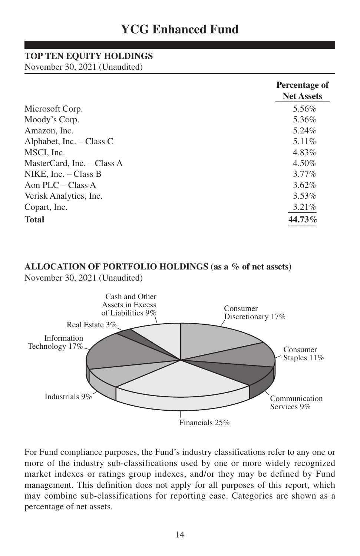## **TOP TEN EQUITY HOLDINGS**

November 30, 2021 (Unaudited)

| Percentage of<br><b>Net Assets</b> |
|------------------------------------|
| 5.56%                              |
| 5.36%                              |
| 5.24%                              |
| $5.11\%$                           |
| 4.83%                              |
| $4.50\%$                           |
| $3.77\%$                           |
| $3.62\%$                           |
| $3.53\%$                           |
| $3.21\%$                           |
| 44.73%                             |
|                                    |

#### **ALLOCATION OF PORTFOLIO HOLDINGS (as a % of net assets)** November 30, 2021 (Unaudited)



For Fund compliance purposes, the Fund's industry classifications refer to any one or more of the industry sub-classifications used by one or more widely recognized market indexes or ratings group indexes, and/or they may be defined by Fund management. This definition does not apply for all purposes of this report, which may combine sub-classifications for reporting ease. Categories are shown as a percentage of net assets.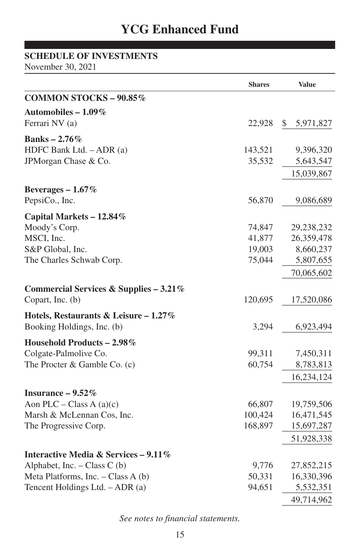#### **SCHEDULE OF INVESTMENTS**

November 30, 2021

|                                          | <b>Shares</b> | <b>Value</b>    |
|------------------------------------------|---------------|-----------------|
| <b>COMMON STOCKS - 90.85%</b>            |               |                 |
| Automobiles – $1.09\%$                   |               |                 |
| Ferrari NV (a)                           | 22,928        | 5,971,827<br>\$ |
| Banks $-2.76\%$                          |               |                 |
| HDFC Bank Ltd. - ADR (a)                 | 143,521       | 9,396,320       |
| JPMorgan Chase & Co.                     | 35,532        | 5,643,547       |
|                                          |               | 15,039,867      |
| Beverages $-1.67\%$                      |               |                 |
| PepsiCo., Inc.                           | 56,870        | 9,086,689       |
| Capital Markets - 12.84%                 |               |                 |
| Moody's Corp.                            | 74,847        | 29,238,232      |
| MSCI, Inc.                               | 41,877        | 26,359,478      |
| S&P Global, Inc.                         | 19,003        | 8,660,237       |
| The Charles Schwab Corp.                 | 75,044        | 5,807,655       |
|                                          |               | 70,065,602      |
| Commercial Services & Supplies $-3.21\%$ |               |                 |
| Copart, Inc. (b)                         | 120,695       | 17,520,086      |
| Hotels, Restaurants & Leisure - 1.27%    |               |                 |
| Booking Holdings, Inc. (b)               | 3,294         | 6,923,494       |
| Household Products - 2.98%               |               |                 |
| Colgate-Palmolive Co.                    | 99,311        | 7,450,311       |
| The Procter & Gamble Co. (c)             | 60,754        | 8,783,813       |
|                                          |               | 16,234,124      |
| Insurance $-9.52\%$                      |               |                 |
| Aon PLC – Class A $(a)(c)$               | 66,807        | 19,759,506      |
| Marsh & McLennan Cos, Inc.               | 100,424       | 16,471,545      |
| The Progressive Corp.                    | 168,897       | 15,697,287      |
|                                          |               | 51,928,338      |
| Interactive Media & Services - 9.11%     |               |                 |
| Alphabet, Inc. - Class C (b)             | 9,776         | 27,852,215      |
| Meta Platforms, Inc. - Class A (b)       | 50,331        | 16,330,396      |
| Tencent Holdings Ltd. - ADR (a)          | 94,651        | 5,532,351       |
|                                          |               | 49,714,962      |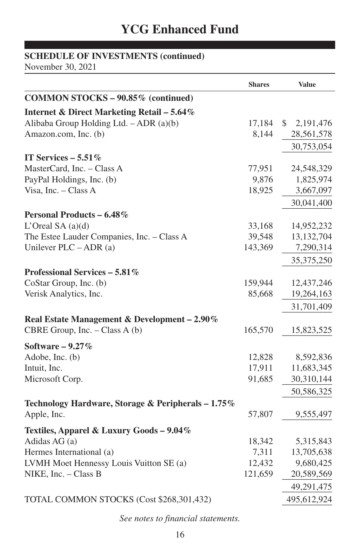## **SCHEDULE OF INVESTMENTS (continued)**

November 30, 2021

|                                                    | <b>Shares</b> | <b>Value</b> |
|----------------------------------------------------|---------------|--------------|
| COMMON STOCKS - 90.85% (continued)                 |               |              |
| Internet & Direct Marketing Retail - 5.64%         |               |              |
| Alibaba Group Holding Ltd. $-$ ADR (a)(b)          | 17,184        | \$2,191,476  |
| Amazon.com, Inc. (b)                               | 8,144         | 28,561,578   |
|                                                    |               | 30,753,054   |
| IT Services $-5.51\%$                              |               |              |
| MasterCard, Inc. - Class A                         | 77,951        | 24,548,329   |
| PayPal Holdings, Inc. (b)                          | 9,876         | 1,825,974    |
| Visa, Inc. - Class A                               | 18,925        | 3,667,097    |
|                                                    |               | 30,041,400   |
| Personal Products - 6.48%                          |               |              |
| L'Oreal SA $(a)(d)$                                | 33,168        | 14,952,232   |
| The Estee Lauder Companies, Inc. - Class A         | 39,548        | 13, 132, 704 |
| Unilever $PLC - ADR$ (a)                           | 143,369       | 7,290,314    |
|                                                    |               | 35,375,250   |
| Professional Services - 5.81%                      |               |              |
| CoStar Group, Inc. (b)                             | 159,944       | 12,437,246   |
| Verisk Analytics, Inc.                             | 85,668        | 19,264,163   |
|                                                    |               | 31,701,409   |
| Real Estate Management & Development - 2.90%       |               |              |
| CBRE Group, Inc. - Class A (b)                     | 165,570       | 15,823,525   |
|                                                    |               |              |
| Software $-9.27\%$                                 |               |              |
| Adobe, Inc. (b)                                    | 12,828        | 8,592,836    |
| Intuit, Inc.                                       | 17,911        | 11,683,345   |
| Microsoft Corp.                                    | 91,685        | 30,310,144   |
|                                                    |               | 50,586,325   |
| Technology Hardware, Storage & Peripherals - 1.75% |               |              |
| Apple, Inc.                                        | 57,807        | 9,555,497    |
| Textiles, Apparel & Luxury Goods - 9.04%           |               |              |
| Adidas AG (a)                                      | 18,342        | 5,315,843    |
| Hermes International (a)                           | 7,311         | 13,705,638   |
| LVMH Moet Hennessy Louis Vuitton SE (a)            | 12,432        | 9,680,425    |
| NIKE, Inc. - Class B                               | 121,659       | 20,589,569   |
|                                                    |               | 49,291,475   |
| TOTAL COMMON STOCKS (Cost \$268,301,432)           |               | 495,612,924  |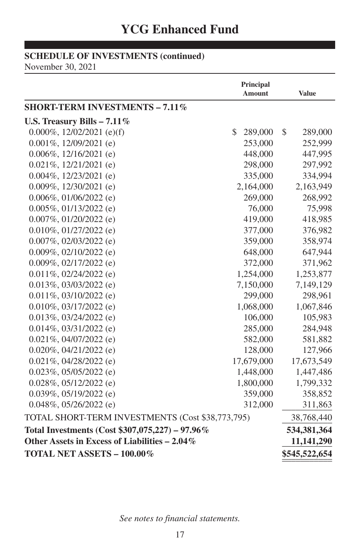### **SCHEDULE OF INVESTMENTS (continued)**

November 30, 2021

|                                                  | Principal<br><b>Amount</b> | <b>Value</b>  |
|--------------------------------------------------|----------------------------|---------------|
| <b>SHORT-TERM INVESTMENTS - 7.11%</b>            |                            |               |
| U.S. Treasury Bills $-7.11\%$                    |                            |               |
| 0.000%, $12/02/2021$ (e)(f)                      | \$<br>289,000              | \$<br>289,000 |
| $0.001\%, 12/09/2021$ (e)                        | 253,000                    | 252,999       |
| $0.006\%, 12/16/2021$ (e)                        | 448,000                    | 447,995       |
| $0.021\%$ , $12/21/2021$ (e)                     | 298,000                    | 297,992       |
| $0.004\%, 12/23/2021$ (e)                        | 335,000                    | 334,994       |
| $0.009\%, 12/30/2021$ (e)                        | 2,164,000                  | 2,163,949     |
| $0.006\%, 01/06/2022$ (e)                        | 269,000                    | 268,992       |
| $0.005\%, 01/13/2022$ (e)                        | 76,000                     | 75,998        |
| $0.007\%, 01/20/2022$ (e)                        | 419,000                    | 418,985       |
| $0.010\%, 01/27/2022$ (e)                        | 377,000                    | 376,982       |
| $0.007\%, 02/03/2022$ (e)                        | 359,000                    | 358,974       |
| $0.009\%, 02/10/2022$ (e)                        | 648,000                    | 647,944       |
| $0.009\%, 02/17/2022$ (e)                        | 372,000                    | 371,962       |
| $0.011\%, 02/24/2022$ (e)                        | 1,254,000                  | 1,253,877     |
| $0.013\%, 03/03/2022$ (e)                        | 7,150,000                  | 7,149,129     |
| $0.011\%, 03/10/2022$ (e)                        | 299,000                    | 298,961       |
| $0.010\%, 03/17/2022$ (e)                        | 1,068,000                  | 1,067,846     |
| $0.013\%, 03/24/2022$ (e)                        | 106,000                    | 105,983       |
| $0.014\%, 03/31/2022$ (e)                        | 285,000                    | 284,948       |
| $0.021\%, 04/07/2022$ (e)                        | 582,000                    | 581,882       |
| $0.020\%$ , 04/21/2022 (e)                       | 128,000                    | 127,966       |
| $0.021\%$ , 04/28/2022 (e)                       | 17,679,000                 | 17,673,549    |
| $0.023\%$ , 05/05/2022 (e)                       | 1,448,000                  | 1,447,486     |
| $0.028\%, 05/12/2022$ (e)                        | 1,800,000                  | 1,799,332     |
| $0.039\%, 05/19/2022$ (e)                        | 359,000                    | 358,852       |
| $0.048\%, 05/26/2022$ (e)                        | 312,000                    | 311,863       |
| TOTAL SHORT-TERM INVESTMENTS (Cost \$38,773,795) |                            | 38,768,440    |
| Total Investments (Cost \$307,075,227) - 97.96%  |                            | 534,381,364   |
| Other Assets in Excess of Liabilities - 2.04%    |                            | 11,141,290    |
| <b>TOTAL NET ASSETS - 100.00%</b>                |                            | \$545,522,654 |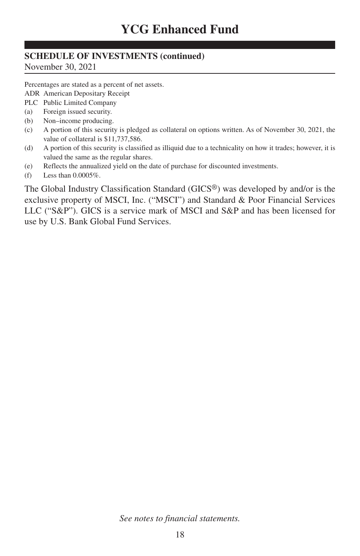### **SCHEDULE OF INVESTMENTS (continued)**

November 30, 2021

Percentages are stated as a percent of net assets.

ADR American Depositary Receipt

- PLC Public Limited Company
- (a) Foreign issued security.
- (b) Non–income producing.
- (c) A portion of this security is pledged as collateral on options written. As of November 30, 2021, the value of collateral is \$11,737,586.
- (d) A portion of this security is classified as illiquid due to a technicality on how it trades; however, it is valued the same as the regular shares.
- (e) Reflects the annualized yield on the date of purchase for discounted investments.
- (f) Less than 0.0005%.

The Global Industry Classification Standard (GICS®) was developed by and/or is the exclusive property of MSCI, Inc. ("MSCI") and Standard & Poor Financial Services LLC ("S&P"). GICS is a service mark of MSCI and S&P and has been licensed for use by U.S. Bank Global Fund Services.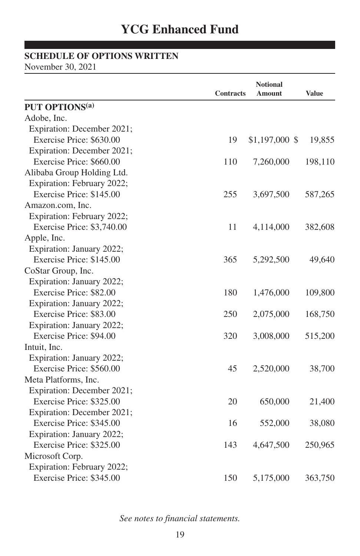### **SCHEDULE OF OPTIONS WRITTEN**

November 30, 2021

|                            | <b>Contracts</b> | <b>Notional</b><br><b>Amount</b> | <b>Value</b> |
|----------------------------|------------------|----------------------------------|--------------|
| PUT OPTIONS <sup>(a)</sup> |                  |                                  |              |
| Adobe, Inc.                |                  |                                  |              |
| Expiration: December 2021; |                  |                                  |              |
| Exercise Price: \$630.00   | 19               | $$1,197,000$ \$                  | 19,855       |
| Expiration: December 2021; |                  |                                  |              |
| Exercise Price: \$660.00   | 110              | 7,260,000                        | 198,110      |
| Alibaba Group Holding Ltd. |                  |                                  |              |
| Expiration: February 2022; |                  |                                  |              |
| Exercise Price: \$145.00   | 255              | 3,697,500                        | 587,265      |
| Amazon.com, Inc.           |                  |                                  |              |
| Expiration: February 2022; |                  |                                  |              |
| Exercise Price: \$3,740.00 | 11               | 4,114,000                        | 382,608      |
| Apple, Inc.                |                  |                                  |              |
| Expiration: January 2022;  |                  |                                  |              |
| Exercise Price: \$145.00   | 365              | 5,292,500                        | 49,640       |
| CoStar Group, Inc.         |                  |                                  |              |
| Expiration: January 2022;  |                  |                                  |              |
| Exercise Price: \$82.00    | 180              | 1,476,000                        | 109,800      |
| Expiration: January 2022;  |                  |                                  |              |
| Exercise Price: \$83.00    | 250              | 2,075,000                        | 168,750      |
| Expiration: January 2022;  |                  |                                  |              |
| Exercise Price: \$94.00    | 320              | 3,008,000                        | 515,200      |
| Intuit, Inc.               |                  |                                  |              |
| Expiration: January 2022;  |                  |                                  |              |
| Exercise Price: \$560.00   | 45               | 2,520,000                        | 38,700       |
| Meta Platforms, Inc.       |                  |                                  |              |
| Expiration: December 2021; |                  |                                  |              |
| Exercise Price: \$325.00   | 20               | 650,000                          | 21,400       |
| Expiration: December 2021; |                  |                                  |              |
| Exercise Price: \$345.00   | 16               | 552,000                          | 38,080       |
| Expiration: January 2022;  |                  |                                  |              |
| Exercise Price: \$325.00   | 143              | 4,647,500                        | 250,965      |
| Microsoft Corp.            |                  |                                  |              |
| Expiration: February 2022; |                  |                                  |              |
| Exercise Price: \$345.00   | 150              | 5,175,000                        | 363,750      |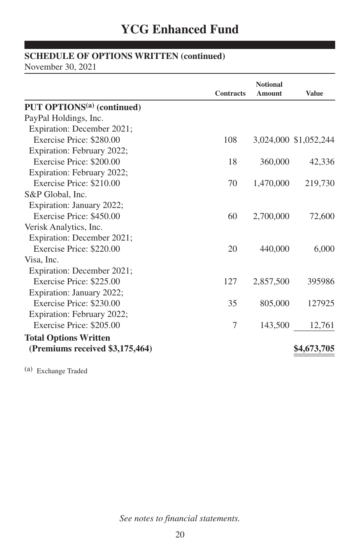## **SCHEDULE OF OPTIONS WRITTEN (continued)**

November 30, 2021

|                                        | <b>Contracts</b> | <b>Notional</b><br><b>Amount</b> | <b>Value</b>          |
|----------------------------------------|------------------|----------------------------------|-----------------------|
| PUT OPTIONS <sup>(a)</sup> (continued) |                  |                                  |                       |
| PayPal Holdings, Inc.                  |                  |                                  |                       |
| Expiration: December 2021;             |                  |                                  |                       |
| Exercise Price: \$280.00               | 108              |                                  | 3,024,000 \$1,052,244 |
| Expiration: February 2022;             |                  |                                  |                       |
| Exercise Price: \$200.00               | 18               | 360,000                          | 42,336                |
| Expiration: February 2022;             |                  |                                  |                       |
| Exercise Price: \$210.00               | 70               | 1,470,000                        | 219,730               |
| S&P Global, Inc.                       |                  |                                  |                       |
| Expiration: January 2022;              |                  |                                  |                       |
| Exercise Price: \$450.00               | 60               | 2,700,000                        | 72,600                |
| Verisk Analytics, Inc.                 |                  |                                  |                       |
| Expiration: December 2021;             |                  |                                  |                       |
| Exercise Price: \$220.00               | 20               | 440,000                          | 6,000                 |
| Visa, Inc.                             |                  |                                  |                       |
| Expiration: December 2021;             |                  |                                  |                       |
| Exercise Price: \$225.00               | 127              | 2,857,500                        | 395986                |
| Expiration: January 2022;              |                  |                                  |                       |
| Exercise Price: \$230.00               | 35               | 805,000                          | 127925                |
| Expiration: February 2022;             |                  |                                  |                       |
| Exercise Price: \$205.00               | 7                | 143,500                          | 12,761                |
| <b>Total Options Written</b>           |                  |                                  |                       |
| (Premiums received \$3,175,464)        |                  |                                  | \$4,673,705           |

(a) Exchange Traded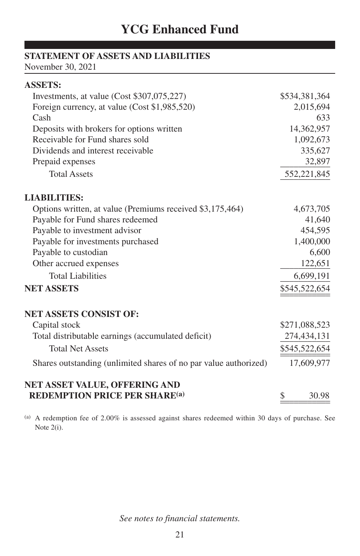## **STATEMENT OF ASSETS AND LIABILITIES**

November 30, 2021

| <b>ASSETS:</b>                                                   |               |
|------------------------------------------------------------------|---------------|
| Investments, at value (Cost \$307,075,227)                       | \$534,381,364 |
| Foreign currency, at value (Cost \$1,985,520)                    | 2,015,694     |
| Cash                                                             | 633           |
| Deposits with brokers for options written                        | 14,362,957    |
| Receivable for Fund shares sold                                  | 1,092,673     |
| Dividends and interest receivable                                | 335,627       |
| Prepaid expenses                                                 | 32,897        |
| <b>Total Assets</b>                                              | 552,221,845   |
| <b>LIABILITIES:</b>                                              |               |
| Options written, at value (Premiums received \$3,175,464)        | 4,673,705     |
| Payable for Fund shares redeemed                                 | 41,640        |
| Payable to investment advisor                                    | 454,595       |
| Payable for investments purchased                                | 1,400,000     |
| Payable to custodian                                             | 6,600         |
| Other accrued expenses                                           | 122,651       |
| <b>Total Liabilities</b>                                         | 6,699,191     |
| <b>NET ASSETS</b>                                                | \$545,522,654 |
| <b>NET ASSETS CONSIST OF:</b>                                    |               |
| Capital stock                                                    | \$271,088,523 |
| Total distributable earnings (accumulated deficit)               | 274,434,131   |
| <b>Total Net Assets</b>                                          | \$545,522,654 |
| Shares outstanding (unlimited shares of no par value authorized) | 17,609,977    |
| NET ASSET VALUE, OFFERING AND                                    |               |
| <b>REDEMPTION PRICE PER SHARE<sup>(a)</sup></b>                  | \$<br>30.98   |

(a) A redemption fee of 2.00% is assessed against shares redeemed within 30 days of purchase. See Note 2(i).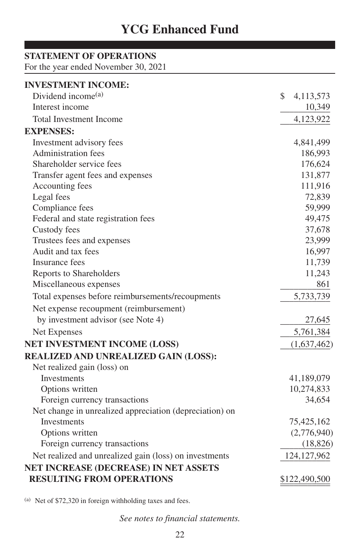| <b>STATEMENT OF OPERATIONS</b>                          |                 |
|---------------------------------------------------------|-----------------|
| For the year ended November 30, 2021                    |                 |
| <b>INVESTMENT INCOME:</b>                               |                 |
| Dividend income <sup>(a)</sup>                          | \$<br>4,113,573 |
| Interest income                                         | 10,349          |
| <b>Total Investment Income</b>                          | 4,123,922       |
| <b>EXPENSES:</b>                                        |                 |
| Investment advisory fees                                | 4,841,499       |
| Administration fees                                     | 186,993         |
| Shareholder service fees                                | 176,624         |
| Transfer agent fees and expenses                        | 131,877         |
| Accounting fees                                         | 111,916         |
| Legal fees                                              | 72,839          |
| Compliance fees                                         | 59,999          |
| Federal and state registration fees                     | 49,475          |
| Custody fees                                            | 37,678          |
| Trustees fees and expenses                              | 23,999          |
| Audit and tax fees                                      | 16,997          |
| Insurance fees                                          | 11,739          |
| Reports to Shareholders                                 | 11,243          |
| Miscellaneous expenses                                  | 861             |
| Total expenses before reimbursements/recoupments        | 5,733,739       |
| Net expense recoupment (reimbursement)                  |                 |
| by investment advisor (see Note 4)                      | 27,645          |
| Net Expenses                                            | 5,761,384       |
| NET INVESTMENT INCOME (LOSS)                            | (1,637,462)     |
| REALIZED AND UNREALIZED GAIN (LOSS):                    |                 |
| Net realized gain (loss) on                             |                 |
| Investments                                             | 41,189,079      |
| Options written                                         | 10,274,833      |
| Foreign currency transactions                           | 34,654          |
| Net change in unrealized appreciation (depreciation) on |                 |
| Investments                                             | 75,425,162      |
| Options written                                         | (2,776,940)     |
| Foreign currency transactions                           | (18, 826)       |
| Net realized and unrealized gain (loss) on investments  | 124, 127, 962   |
| NET INCREASE (DECREASE) IN NET ASSETS                   |                 |
| <b>RESULTING FROM OPERATIONS</b>                        | \$122,490,500   |

(a) Net of \$72,320 in foreign withholding taxes and fees.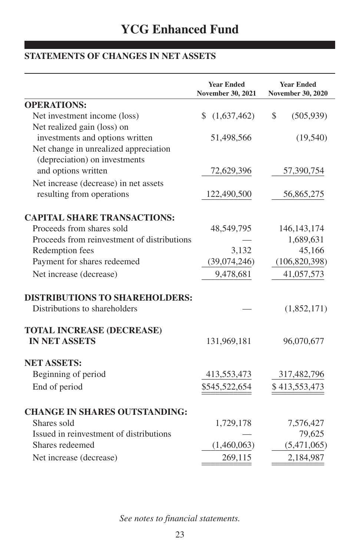## **STATEMENTS OF CHANGES IN NET ASSETS**

|                                             | <b>Year Ended</b>  | <b>Year Ended</b>        |
|---------------------------------------------|--------------------|--------------------------|
|                                             | November 30, 2021  | <b>November 30, 2020</b> |
| <b>OPERATIONS:</b>                          |                    |                          |
| Net investment income (loss)                | (1,637,462)<br>\$. | \$<br>(505, 939)         |
| Net realized gain (loss) on                 |                    |                          |
| investments and options written             | 51,498,566         | (19, 540)                |
| Net change in unrealized appreciation       |                    |                          |
| (depreciation) on investments               |                    |                          |
| and options written                         | 72,629,396         | 57,390,754               |
| Net increase (decrease) in net assets       |                    |                          |
| resulting from operations                   | 122,490,500        | 56,865,275               |
| <b>CAPITAL SHARE TRANSACTIONS:</b>          |                    |                          |
| Proceeds from shares sold                   | 48,549,795         | 146, 143, 174            |
| Proceeds from reinvestment of distributions |                    | 1,689,631                |
| Redemption fees                             | 3,132              | 45,166                   |
| Payment for shares redeemed                 | (39,074,246)       | (106, 820, 398)          |
| Net increase (decrease)                     | 9,478,681          | 41,057,573               |
| <b>DISTRIBUTIONS TO SHAREHOLDERS:</b>       |                    |                          |
| Distributions to shareholders               |                    | (1,852,171)              |
| TOTAL INCREASE (DECREASE)                   |                    |                          |
| <b>IN NET ASSETS</b>                        | 131,969,181        | 96,070,677               |
| <b>NET ASSETS:</b>                          |                    |                          |
| Beginning of period                         | 413,553,473        | 317,482,796              |
| End of period                               | \$545,522,654      | \$413,553,473            |
| <b>CHANGE IN SHARES OUTSTANDING:</b>        |                    |                          |
| Shares sold                                 | 1,729,178          | 7,576,427                |
| Issued in reinvestment of distributions     |                    | 79,625                   |
| Shares redeemed                             | (1,460,063)        | (5,471,065)              |
| Net increase (decrease)                     | 269,115            | 2,184,987                |
|                                             |                    |                          |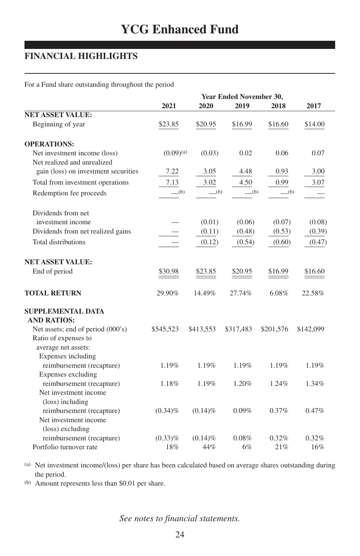## **FINANCIAL HIGHLIGHTS**

For a Fund share outstanding throughout the period

|                                                                                                            |                         |                            | Year Ended November 30,    |                            |                            |
|------------------------------------------------------------------------------------------------------------|-------------------------|----------------------------|----------------------------|----------------------------|----------------------------|
|                                                                                                            | 2021                    | 2020                       | 2019                       | 2018                       | 2017                       |
| <b>NET ASSET VALUE:</b>                                                                                    |                         |                            |                            |                            |                            |
| Beginning of year                                                                                          | \$23.85                 | \$20.95                    | \$16.99                    | \$16.60                    | \$14.00                    |
| <b>OPERATIONS:</b>                                                                                         |                         |                            |                            |                            |                            |
| Net investment income (loss)<br>Net realized and unrealized                                                | $(0.09)$ <sup>(a)</sup> | (0.03)                     | 0.02                       | 0.06                       | 0.07                       |
| gain (loss) on investment securities                                                                       | 7.22                    | 3.05                       | 4.48                       | 0.93                       | 3.00                       |
| Total from investment operations                                                                           | 7.13                    | 3.02                       | 4.50                       | 0.99                       | 3.07                       |
| Redemption fee proceeds                                                                                    | (b)                     | (b)                        | (b)                        | (b)                        |                            |
| Dividends from net<br>investment income<br>Dividends from net realized gains<br><b>Total distributions</b> |                         | (0.01)<br>(0.11)<br>(0.12) | (0.06)<br>(0.48)<br>(0.54) | (0.07)<br>(0.53)<br>(0.60) | (0.08)<br>(0.39)<br>(0.47) |
| <b>NET ASSET VALUE:</b>                                                                                    |                         |                            |                            |                            |                            |
| End of period                                                                                              | \$30.98                 | \$23.85                    | \$20.95                    | \$16.99                    | \$16.60                    |
| <b>TOTAL RETURN</b>                                                                                        | 29.90%                  | 14.49%                     | 27.74%                     | 6.08%                      | 22.58%                     |
| SUPPLEMENTAL DATA                                                                                          |                         |                            |                            |                            |                            |
| <b>AND RATIOS:</b>                                                                                         |                         |                            |                            |                            |                            |
| Net assets; end of period (000's)<br>Ratio of expenses to<br>average net assets:<br>Expenses including     | \$545,523               | \$413,553                  | \$317,483                  | \$201,576                  | \$142,099                  |
| reimbursement (recapture)<br>Expenses excluding                                                            | 1.19%                   | 1.19%                      | 1.19%                      | 1.19%                      | 1.19%                      |
| reimbursement (recapture)<br>Net investment income                                                         | 1.18%                   | 1.19%                      | 1.20%                      | 1.24%                      | $1.34\%$                   |
| (loss) including<br>reimbursement (recapture)<br>Net investment income                                     | $(0.34)\%$              | (0.14)%                    | $0.09\%$                   | $0.37\%$                   | 0.47%                      |
| (loss) excluding<br>reimbursement (recapture)                                                              | $(0.33)\%$              | (0.14)%                    | 0.08%                      | 0.32%                      | 0.32%                      |
| Portfolio turnover rate                                                                                    | 18%                     | 44%                        | 6%                         | 21%                        | 16%                        |

(a) Net investment income/(loss) per share has been calculated based on average shares outstanding during the period.

(b) Amount represents less than \$0.01 per share.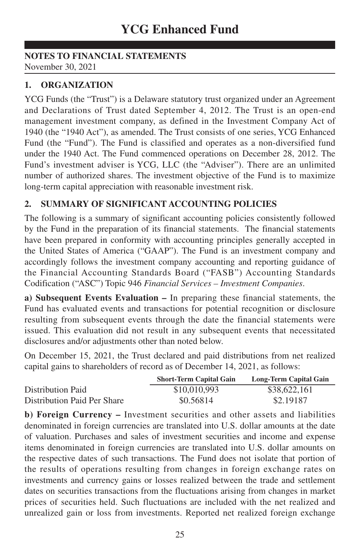## **NOTES TO FINANCIAL STATEMENTS**

November 30, 2021

## **1. ORGANIZATION**

YCG Funds (the "Trust") is a Delaware statutory trust organized under an Agreement and Declarations of Trust dated September 4, 2012. The Trust is an open-end management investment company, as defined in the Investment Company Act of 1940 (the "1940 Act"), as amended. The Trust consists of one series, YCG Enhanced Fund (the "Fund"). The Fund is classified and operates as a non-diversified fund under the 1940 Act. The Fund commenced operations on December 28, 2012. The Fund's investment adviser is YCG, LLC (the "Adviser"). There are an unlimited number of authorized shares. The investment objective of the Fund is to maximize long-term capital appreciation with reasonable investment risk.

## **2. SUMMARY OF SIGNIFICANT ACCOUNTING POLICIES**

The following is a summary of significant accounting policies consistently followed by the Fund in the preparation of its financial statements. The financial statements have been prepared in conformity with accounting principles generally accepted in the United States of America ("GAAP"). The Fund is an investment company and accordingly follows the investment company accounting and reporting guidance of the Financial Accounting Standards Board ("FASB") Accounting Standards Codification ("ASC") Topic 946 *Financial Services – Investment Companies*.

**a) Subsequent Events Evaluation –** In preparing these financial statements, the Fund has evaluated events and transactions for potential recognition or disclosure resulting from subsequent events through the date the financial statements were issued. This evaluation did not result in any subsequent events that necessitated disclosures and/or adjustments other than noted below.

On December 15, 2021, the Trust declared and paid distributions from net realized capital gains to shareholders of record as of December 14, 2021, as follows:

|                             | <b>Short-Term Capital Gain</b> | Long-Term Capital Gain |
|-----------------------------|--------------------------------|------------------------|
| Distribution Paid           | \$10,010,993                   | \$38,622,161           |
| Distribution Paid Per Share | \$0.56814                      | \$2.19187              |

**b) Foreign Currency –** Investment securities and other assets and liabilities denominated in foreign currencies are translated into U.S. dollar amounts at the date of valuation. Purchases and sales of investment securities and income and expense items denominated in foreign currencies are translated into U.S. dollar amounts on the respective dates of such transactions. The Fund does not isolate that portion of the results of operations resulting from changes in foreign exchange rates on investments and currency gains or losses realized between the trade and settlement dates on securities transactions from the fluctuations arising from changes in market prices of securities held. Such fluctuations are included with the net realized and unrealized gain or loss from investments. Reported net realized foreign exchange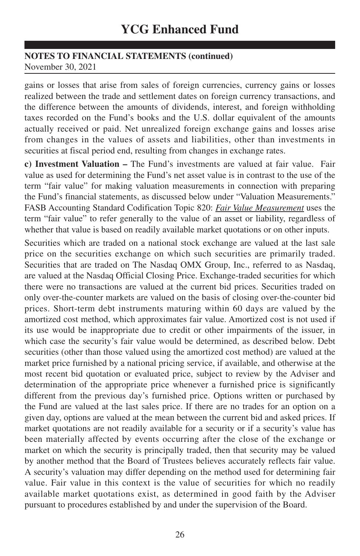### **NOTES TO FINANCIAL STATEMENTS (continued)** November 30, 2021

gains or losses that arise from sales of foreign currencies, currency gains or losses realized between the trade and settlement dates on foreign currency transactions, and the difference between the amounts of dividends, interest, and foreign withholding taxes recorded on the Fund's books and the U.S. dollar equivalent of the amounts actually received or paid. Net unrealized foreign exchange gains and losses arise from changes in the values of assets and liabilities, other than investments in securities at fiscal period end, resulting from changes in exchange rates.

**c) Investment Valuation –** The Fund's investments are valued at fair value. Fair value as used for determining the Fund's net asset value is in contrast to the use of the term "fair value" for making valuation measurements in connection with preparing the Fund's financial statements, as discussed below under "Valuation Measurements." FASB Accounting Standard Codification Topic 820: *Fair Value Measurement* uses the term "fair value" to refer generally to the value of an asset or liability, regardless of whether that value is based on readily available market quotations or on other inputs.

Securities which are traded on a national stock exchange are valued at the last sale price on the securities exchange on which such securities are primarily traded. Securities that are traded on The Nasdaq OMX Group, Inc., referred to as Nasdaq, are valued at the Nasdaq Official Closing Price. Exchange-traded securities for which there were no transactions are valued at the current bid prices. Securities traded on only over-the-counter markets are valued on the basis of closing over-the-counter bid prices. Short-term debt instruments maturing within 60 days are valued by the amortized cost method, which approximates fair value. Amortized cost is not used if its use would be inappropriate due to credit or other impairments of the issuer, in which case the security's fair value would be determined, as described below. Debt securities (other than those valued using the amortized cost method) are valued at the market price furnished by a national pricing service, if available, and otherwise at the most recent bid quotation or evaluated price, subject to review by the Adviser and determination of the appropriate price whenever a furnished price is significantly different from the previous day's furnished price. Options written or purchased by the Fund are valued at the last sales price. If there are no trades for an option on a given day, options are valued at the mean between the current bid and asked prices. If market quotations are not readily available for a security or if a security's value has been materially affected by events occurring after the close of the exchange or market on which the security is principally traded, then that security may be valued by another method that the Board of Trustees believes accurately reflects fair value. A security's valuation may differ depending on the method used for determining fair value. Fair value in this context is the value of securities for which no readily available market quotations exist, as determined in good faith by the Adviser pursuant to procedures established by and under the supervision of the Board.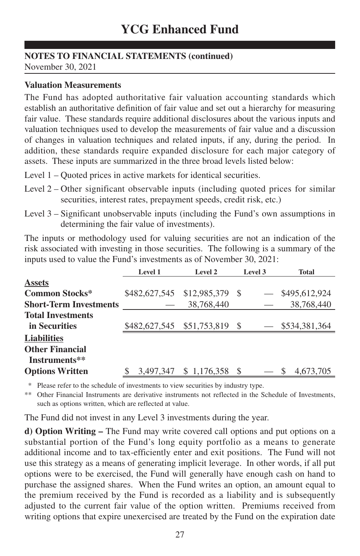November 30, 2021

## **Valuation Measurements**

The Fund has adopted authoritative fair valuation accounting standards which establish an authoritative definition of fair value and set out a hierarchy for measuring fair value. These standards require additional disclosures about the various inputs and valuation techniques used to develop the measurements of fair value and a discussion of changes in valuation techniques and related inputs, if any, during the period. In addition, these standards require expanded disclosure for each major category of assets. These inputs are summarized in the three broad levels listed below:

- Level 1 Quoted prices in active markets for identical securities.
- Level 2 Other significant observable inputs (including quoted prices for similar securities, interest rates, prepayment speeds, credit risk, etc.)
- Level 3 Significant unobservable inputs (including the Fund's own assumptions in determining the fair value of investments).

The inputs or methodology used for valuing securities are not an indication of the risk associated with investing in those securities. The following is a summary of the inputs used to value the Fund's investments as of November 30, 2021:

|                               | <b>Level 1</b>             | Level 2      | Level 3 |  |   | <b>Total</b>  |
|-------------------------------|----------------------------|--------------|---------|--|---|---------------|
| <b>Assets</b>                 |                            |              |         |  |   |               |
| Common Stocks*                | \$482,627,545 \$12,985,379 |              | -S      |  |   | \$495,612,924 |
| <b>Short-Term Investments</b> |                            | 38,768,440   |         |  |   | 38,768,440    |
| <b>Total Investments</b>      |                            |              |         |  |   |               |
| in Securities                 | \$482,627,545              | \$51,753,819 | -S      |  |   | \$534,381,364 |
| <b>Liabilities</b>            |                            |              |         |  |   |               |
| <b>Other Financial</b>        |                            |              |         |  |   |               |
| Instruments**                 |                            |              |         |  |   |               |
| <b>Options Written</b>        | 3,497,347                  | \$1,176,358  |         |  | S | 4,673,705     |

\* Please refer to the schedule of investments to view securities by industry type.

\*\* Other Financial Instruments are derivative instruments not reflected in the Schedule of Investments, such as options written, which are reflected at value.

The Fund did not invest in any Level 3 investments during the year.

**d) Option Writing –** The Fund may write covered call options and put options on a substantial portion of the Fund's long equity portfolio as a means to generate additional income and to tax-efficiently enter and exit positions. The Fund will not use this strategy as a means of generating implicit leverage. In other words, if all put options were to be exercised, the Fund will generally have enough cash on hand to purchase the assigned shares. When the Fund writes an option, an amount equal to the premium received by the Fund is recorded as a liability and is subsequently adjusted to the current fair value of the option written. Premiums received from writing options that expire unexercised are treated by the Fund on the expiration date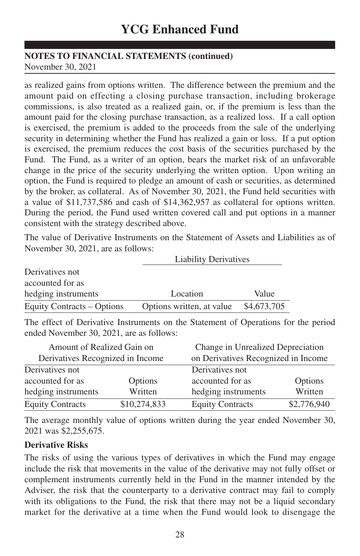November 30, 2021

as realized gains from options written. The difference between the premium and the amount paid on effecting a closing purchase transaction, including brokerage commissions, is also treated as a realized gain, or, if the premium is less than the amount paid for the closing purchase transaction, as a realized loss. If a call option is exercised, the premium is added to the proceeds from the sale of the underlying security in determining whether the Fund has realized a gain or loss. If a put option is exercised, the premium reduces the cost basis of the securities purchased by the Fund. The Fund, as a writer of an option, bears the market risk of an unfavorable change in the price of the security underlying the written option. Upon writing an option, the Fund is required to pledge an amount of cash or securities, as determined by the broker, as collateral. As of November 30, 2021, the Fund held securities with a value of \$11,737,586 and cash of \$14,362,957 as collateral for options written. During the period, the Fund used written covered call and put options in a manner consistent with the strategy described above.

The value of Derivative Instruments on the Statement of Assets and Liabilities as of November 30, 2021, are as follows:

|                            | <b>Liability Derivatives</b> |             |  |  |  |
|----------------------------|------------------------------|-------------|--|--|--|
| Derivatives not            |                              |             |  |  |  |
| accounted for as           |                              |             |  |  |  |
| hedging instruments        | Location                     | Value       |  |  |  |
| Equity Contracts – Options | Options written, at value    | \$4,673,705 |  |  |  |

The effect of Derivative Instruments on the Statement of Operations for the period ended November 30, 2021, are as follows:

| Amount of Realized Gain on       |              | Change in Unrealized Depreciation   |             |  |
|----------------------------------|--------------|-------------------------------------|-------------|--|
| Derivatives Recognized in Income |              | on Derivatives Recognized in Income |             |  |
| Derivatives not                  |              | Derivatives not                     |             |  |
| accounted for as<br>Options      |              | accounted for as                    | Options     |  |
| hedging instruments              | Written      | hedging instruments                 | Written     |  |
| <b>Equity Contracts</b>          | \$10,274,833 | <b>Equity Contracts</b>             | \$2,776,940 |  |

The average monthly value of options written during the year ended November 30, 2021 was \$2,255,675.

## **Derivative Risks**

The risks of using the various types of derivatives in which the Fund may engage include the risk that movements in the value of the derivative may not fully offset or complement instruments currently held in the Fund in the manner intended by the Adviser, the risk that the counterparty to a derivative contract may fail to comply with its obligations to the Fund, the risk that there may not be a liquid secondary market for the derivative at a time when the Fund would look to disengage the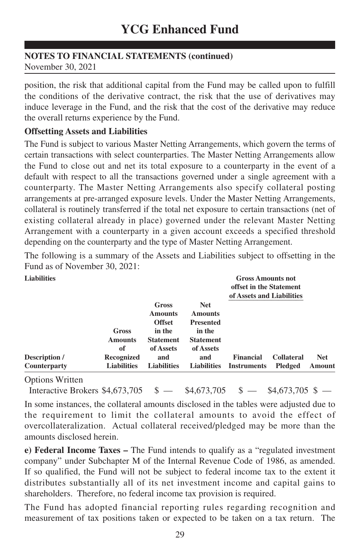November 30, 2021

position, the risk that additional capital from the Fund may be called upon to fulfill the conditions of the derivative contract, the risk that the use of derivatives may induce leverage in the Fund, and the risk that the cost of the derivative may reduce the overall returns experience by the Fund.

### **Offsetting Assets and Liabilities**

The Fund is subject to various Master Netting Arrangements, which govern the terms of certain transactions with select counterparties. The Master Netting Arrangements allow the Fund to close out and net its total exposure to a counterparty in the event of a default with respect to all the transactions governed under a single agreement with a counterparty. The Master Netting Arrangements also specify collateral posting arrangements at pre-arranged exposure levels. Under the Master Netting Arrangements, collateral is routinely transferred if the total net exposure to certain transactions (net of existing collateral already in place) governed under the relevant Master Netting Arrangement with a counterparty in a given account exceeds a specified threshold depending on the counterparty and the type of Master Netting Arrangement.

The following is a summary of the Assets and Liabilities subject to offsetting in the Fund as of November 30, 2021:

| <b>Liabilities</b>            |                                  |                                                                                     |                                                                                             | <b>Gross Amounts not</b><br>offset in the Statement<br>of Assets and Liabilities |                                     |                      |
|-------------------------------|----------------------------------|-------------------------------------------------------------------------------------|---------------------------------------------------------------------------------------------|----------------------------------------------------------------------------------|-------------------------------------|----------------------|
|                               | Gross<br><b>Amounts</b><br>of    | Gross<br><b>Amounts</b><br><b>Offset</b><br>in the<br><b>Statement</b><br>of Assets | <b>Net</b><br><b>Amounts</b><br><b>Presented</b><br>in the<br><b>Statement</b><br>of Assets |                                                                                  |                                     |                      |
| Description /<br>Counterparty | Recognized<br><b>Liabilities</b> | and<br><b>Liabilities</b>                                                           | and<br><b>Liabilities</b>                                                                   | <b>Financial</b><br><b>Instruments</b>                                           | <b>Collateral</b><br><b>Pledged</b> | <b>Net</b><br>Amount |
|                               |                                  |                                                                                     |                                                                                             |                                                                                  |                                     |                      |

#### Options Written

Interactive Brokers \$4,673,705 \$ — \$4,673,705 \$ — \$4,673,705 \$ —

In some instances, the collateral amounts disclosed in the tables were adjusted due to the requirement to limit the collateral amounts to avoid the effect of overcollateralization. Actual collateral received/pledged may be more than the amounts disclosed herein.

**e) Federal Income Taxes –** The Fund intends to qualify as a "regulated investment company" under Subchapter M of the Internal Revenue Code of 1986, as amended. If so qualified, the Fund will not be subject to federal income tax to the extent it distributes substantially all of its net investment income and capital gains to shareholders. Therefore, no federal income tax provision is required.

The Fund has adopted financial reporting rules regarding recognition and measurement of tax positions taken or expected to be taken on a tax return. The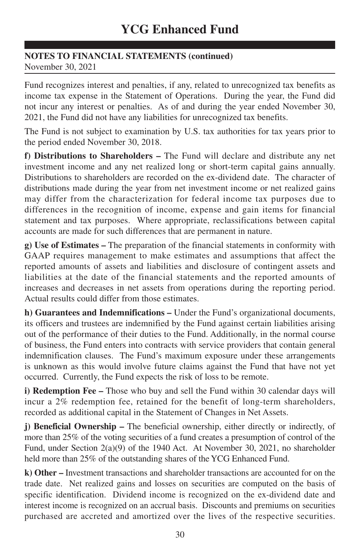November 30, 2021

Fund recognizes interest and penalties, if any, related to unrecognized tax benefits as income tax expense in the Statement of Operations. During the year, the Fund did not incur any interest or penalties. As of and during the year ended November 30, 2021, the Fund did not have any liabilities for unrecognized tax benefits.

The Fund is not subject to examination by U.S. tax authorities for tax years prior to the period ended November 30, 2018.

**f) Distributions to Shareholders –** The Fund will declare and distribute any net investment income and any net realized long or short-term capital gains annually. Distributions to shareholders are recorded on the ex-dividend date. The character of distributions made during the year from net investment income or net realized gains may differ from the characterization for federal income tax purposes due to differences in the recognition of income, expense and gain items for financial statement and tax purposes. Where appropriate, reclassifications between capital accounts are made for such differences that are permanent in nature.

**g) Use of Estimates –** The preparation of the financial statements in conformity with GAAP requires management to make estimates and assumptions that affect the reported amounts of assets and liabilities and disclosure of contingent assets and liabilities at the date of the financial statements and the reported amounts of increases and decreases in net assets from operations during the reporting period. Actual results could differ from those estimates.

**h) Guarantees and Indemnifications –** Under the Fund's organizational documents, its officers and trustees are indemnified by the Fund against certain liabilities arising out of the performance of their duties to the Fund. Additionally, in the normal course of business, the Fund enters into contracts with service providers that contain general indemnification clauses. The Fund's maximum exposure under these arrangements is unknown as this would involve future claims against the Fund that have not yet occurred. Currently, the Fund expects the risk of loss to be remote.

**i) Redemption Fee –** Those who buy and sell the Fund within 30 calendar days will incur a 2% redemption fee, retained for the benefit of long-term shareholders, recorded as additional capital in the Statement of Changes in Net Assets.

**j) Beneficial Ownership –** The beneficial ownership, either directly or indirectly, of more than 25% of the voting securities of a fund creates a presumption of control of the Fund, under Section 2(a)(9) of the 1940 Act. At November 30, 2021, no shareholder held more than 25% of the outstanding shares of the YCG Enhanced Fund.

**k) Other –** Investment transactions and shareholder transactions are accounted for on the trade date. Net realized gains and losses on securities are computed on the basis of specific identification. Dividend income is recognized on the ex-dividend date and interest income is recognized on an accrual basis. Discounts and premiums on securities purchased are accreted and amortized over the lives of the respective securities.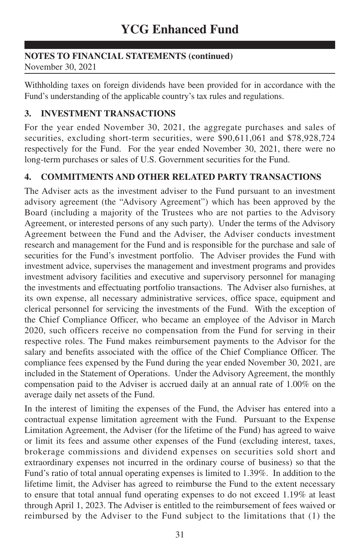November 30, 2021

Withholding taxes on foreign dividends have been provided for in accordance with the Fund's understanding of the applicable country's tax rules and regulations.

## **3. INVESTMENT TRANSACTIONS**

For the year ended November 30, 2021, the aggregate purchases and sales of securities, excluding short-term securities, were \$90,611,061 and \$78,928,724 respectively for the Fund. For the year ended November 30, 2021, there were no long-term purchases or sales of U.S. Government securities for the Fund.

## **4. COMMITMENTS AND OTHER RELATED PARTY TRANSACTIONS**

The Adviser acts as the investment adviser to the Fund pursuant to an investment advisory agreement (the "Advisory Agreement") which has been approved by the Board (including a majority of the Trustees who are not parties to the Advisory Agreement, or interested persons of any such party). Under the terms of the Advisory Agreement between the Fund and the Adviser, the Adviser conducts investment research and management for the Fund and is responsible for the purchase and sale of securities for the Fund's investment portfolio. The Adviser provides the Fund with investment advice, supervises the management and investment programs and provides investment advisory facilities and executive and supervisory personnel for managing the investments and effectuating portfolio transactions. The Adviser also furnishes, at its own expense, all necessary administrative services, office space, equipment and clerical personnel for servicing the investments of the Fund. With the exception of the Chief Compliance Officer, who became an employee of the Advisor in March 2020, such officers receive no compensation from the Fund for serving in their respective roles. The Fund makes reimbursement payments to the Advisor for the salary and benefits associated with the office of the Chief Compliance Officer. The compliance fees expensed by the Fund during the year ended November 30, 2021, are included in the Statement of Operations. Under the Advisory Agreement, the monthly compensation paid to the Adviser is accrued daily at an annual rate of 1.00% on the average daily net assets of the Fund.

In the interest of limiting the expenses of the Fund, the Adviser has entered into a contractual expense limitation agreement with the Fund. Pursuant to the Expense Limitation Agreement, the Adviser (for the lifetime of the Fund) has agreed to waive or limit its fees and assume other expenses of the Fund (excluding interest, taxes, brokerage commissions and dividend expenses on securities sold short and extraordinary expenses not incurred in the ordinary course of business) so that the Fund's ratio of total annual operating expenses is limited to 1.39%. In addition to the lifetime limit, the Adviser has agreed to reimburse the Fund to the extent necessary to ensure that total annual fund operating expenses to do not exceed 1.19% at least through April 1, 2023. The Adviser is entitled to the reimbursement of fees waived or reimbursed by the Adviser to the Fund subject to the limitations that (1) the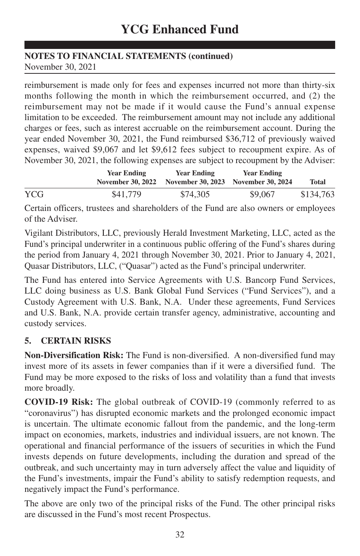November 30, 2021

reimbursement is made only for fees and expenses incurred not more than thirty-six months following the month in which the reimbursement occurred, and (2) the reimbursement may not be made if it would cause the Fund's annual expense limitation to be exceeded. The reimbursement amount may not include any additional charges or fees, such as interest accruable on the reimbursement account. During the year ended November 30, 2021, the Fund reimbursed \$36,712 of previously waived expenses, waived \$9,067 and let \$9,612 fees subject to recoupment expire. As of November 30, 2021, the following expenses are subject to recoupment by the Adviser:

|     | <b>Year Ending</b> | <b>Year Ending</b>                                    | <b>Year Ending</b> |           |
|-----|--------------------|-------------------------------------------------------|--------------------|-----------|
|     |                    | November 30, 2022 November 30, 2023 November 30, 2024 |                    | Total     |
| YCG | \$41,779           | \$74.305                                              | \$9,067            | \$134,763 |

Certain officers, trustees and shareholders of the Fund are also owners or employees of the Adviser.

Vigilant Distributors, LLC, previously Herald Investment Marketing, LLC, acted as the Fund's principal underwriter in a continuous public offering of the Fund's shares during the period from January 4, 2021 through November 30, 2021. Prior to January 4, 2021, Quasar Distributors, LLC, ("Quasar") acted as the Fund's principal underwriter.

The Fund has entered into Service Agreements with U.S. Bancorp Fund Services, LLC doing business as U.S. Bank Global Fund Services ("Fund Services"), and a Custody Agreement with U.S. Bank, N.A. Under these agreements, Fund Services and U.S. Bank, N.A. provide certain transfer agency, administrative, accounting and custody services.

## **5. CERTAIN RISKS**

**Non-Diversification Risk:** The Fund is non-diversified. A non-diversified fund may invest more of its assets in fewer companies than if it were a diversified fund. The Fund may be more exposed to the risks of loss and volatility than a fund that invests more broadly.

**COVID-19 Risk:** The global outbreak of COVID-19 (commonly referred to as "coronavirus") has disrupted economic markets and the prolonged economic impact is uncertain. The ultimate economic fallout from the pandemic, and the long-term impact on economies, markets, industries and individual issuers, are not known. The operational and financial performance of the issuers of securities in which the Fund invests depends on future developments, including the duration and spread of the outbreak, and such uncertainty may in turn adversely affect the value and liquidity of the Fund's investments, impair the Fund's ability to satisfy redemption requests, and negatively impact the Fund's performance.

The above are only two of the principal risks of the Fund. The other principal risks are discussed in the Fund's most recent Prospectus.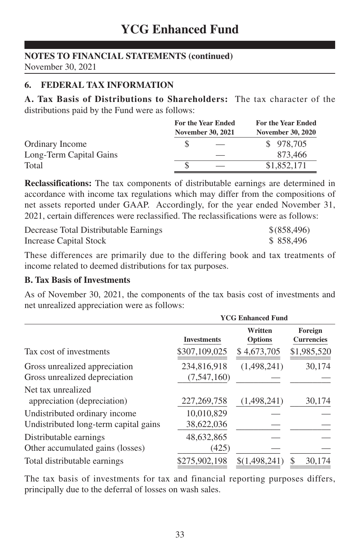November 30, 2021

### **6. FEDERAL TAX INFORMATION**

**A. Tax Basis of Distributions to Shareholders:** The tax character of the distributions paid by the Fund were as follows:

|                         | <b>For the Year Ended</b> | <b>For the Year Ended</b> |  |
|-------------------------|---------------------------|---------------------------|--|
|                         | <b>November 30, 2021</b>  | <b>November 30, 2020</b>  |  |
| Ordinary Income         |                           | \$978,705                 |  |
| Long-Term Capital Gains |                           | 873.466                   |  |
| Total                   |                           | \$1,852,171               |  |

**Reclassifications:** The tax components of distributable earnings are determined in accordance with income tax regulations which may differ from the compositions of net assets reported under GAAP. Accordingly, for the year ended November 31, 2021, certain differences were reclassified. The reclassifications were as follows:

| Decrease Total Distributable Earnings | \$(858,496) |
|---------------------------------------|-------------|
| Increase Capital Stock                | \$858,496   |

These differences are primarily due to the differing book and tax treatments of income related to deemed distributions for tax purposes.

#### **B. Tax Basis of Investments**

As of November 30, 2021, the components of the tax basis cost of investments and net unrealized appreciation were as follows:

|                                       | <b>YCG Enhanced Fund</b> |                           |                              |  |  |
|---------------------------------------|--------------------------|---------------------------|------------------------------|--|--|
|                                       | <b>Investments</b>       | Written<br><b>Options</b> | Foreign<br><b>Currencies</b> |  |  |
| Tax cost of investments               | \$307,109,025            | \$4,673,705               | \$1,985,520                  |  |  |
| Gross unrealized appreciation         | 234,816,918              | (1,498,241)               | 30,174                       |  |  |
| Gross unrealized depreciation         | (7,547,160)              |                           |                              |  |  |
| Net tax unrealized                    |                          |                           |                              |  |  |
| appreciation (depreciation)           | 227, 269, 758            | (1,498,241)               | 30,174                       |  |  |
| Undistributed ordinary income         | 10,010,829               |                           |                              |  |  |
| Undistributed long-term capital gains | 38,622,036               |                           |                              |  |  |
| Distributable earnings                | 48,632,865               |                           |                              |  |  |
| Other accumulated gains (losses)      | (425)                    |                           |                              |  |  |
| Total distributable earnings          | \$275,902,198            | \$(1,498,241)             | 30,174                       |  |  |

The tax basis of investments for tax and financial reporting purposes differs, principally due to the deferral of losses on wash sales.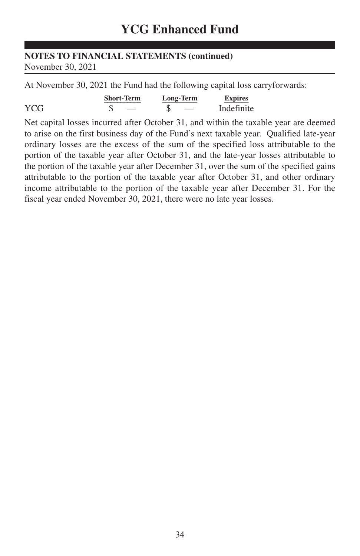## **NOTES TO FINANCIAL STATEMENTS (continued)**

November 30, 2021

At November 30, 2021 the Fund had the following capital loss carryforwards:

|            | <b>Short-Term</b> | Long-Term                      | <b>Expires</b> |
|------------|-------------------|--------------------------------|----------------|
| <b>YCG</b> | ___               | ъĐ<br>$\overline{\phantom{a}}$ | Indefinite     |

Net capital losses incurred after October 31, and within the taxable year are deemed to arise on the first business day of the Fund's next taxable year. Qualified late-year ordinary losses are the excess of the sum of the specified loss attributable to the portion of the taxable year after October 31, and the late-year losses attributable to the portion of the taxable year after December 31, over the sum of the specified gains attributable to the portion of the taxable year after October 31, and other ordinary income attributable to the portion of the taxable year after December 31. For the fiscal year ended November 30, 2021, there were no late year losses.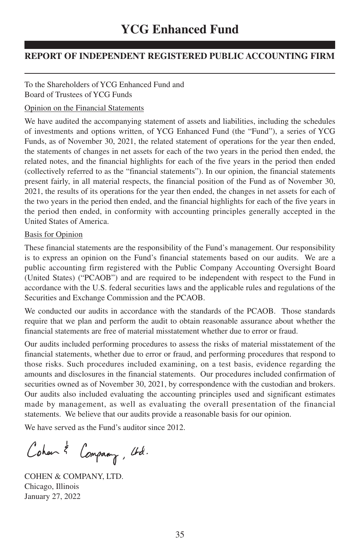## **REPORT OF INDEPENDENT REGISTERED PUBLIC ACCOUNTING FIRM**

#### To the Shareholders of YCG Enhanced Fund and Board of Trustees of YCG Funds

#### Opinion on the Financial Statements

We have audited the accompanying statement of assets and liabilities, including the schedules of investments and options written, of YCG Enhanced Fund (the "Fund"), a series of YCG Funds, as of November 30, 2021, the related statement of operations for the year then ended, the statements of changes in net assets for each of the two years in the period then ended, the related notes, and the financial highlights for each of the five years in the period then ended (collectively referred to as the "financial statements"). In our opinion, the financial statements present fairly, in all material respects, the financial position of the Fund as of November 30, 2021, the results of its operations for the year then ended, the changes in net assets for each of the two years in the period then ended, and the financial highlights for each of the five years in the period then ended, in conformity with accounting principles generally accepted in the United States of America.

#### Basis for Opinion

These financial statements are the responsibility of the Fund's management. Our responsibility is to express an opinion on the Fund's financial statements based on our audits. We are a public accounting firm registered with the Public Company Accounting Oversight Board (United States) ("PCAOB") and are required to be independent with respect to the Fund in accordance with the U.S. federal securities laws and the applicable rules and regulations of the Securities and Exchange Commission and the PCAOB.

We conducted our audits in accordance with the standards of the PCAOB. Those standards require that we plan and perform the audit to obtain reasonable assurance about whether the financial statements are free of material misstatement whether due to error or fraud.

Our audits included performing procedures to assess the risks of material misstatement of the financial statements, whether due to error or fraud, and performing procedures that respond to those risks. Such procedures included examining, on a test basis, evidence regarding the amounts and disclosures in the financial statements. Our procedures included confirmation of securities owned as of November 30, 2021, by correspondence with the custodian and brokers. Our audits also included evaluating the accounting principles used and significant estimates made by management, as well as evaluating the overall presentation of the financial statements. We believe that our audits provide a reasonable basis for our opinion.

We have served as the Fund's auditor since 2012.

Cohan & Company, Ud.

COHEN & COMPANY, LTD. Chicago, Illinois January 27, 2022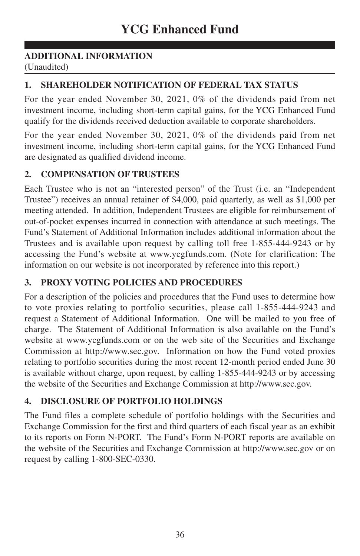## **ADDITIONAL INFORMATION**

(Unaudited)

## **1. SHAREHOLDER NOTIFICATION OF FEDERAL TAX STATUS**

For the year ended November 30, 2021, 0% of the dividends paid from net investment income, including short-term capital gains, for the YCG Enhanced Fund qualify for the dividends received deduction available to corporate shareholders.

For the year ended November 30, 2021, 0% of the dividends paid from net investment income, including short-term capital gains, for the YCG Enhanced Fund are designated as qualified dividend income.

## **2. COMPENSATION OF TRUSTEES**

Each Trustee who is not an "interested person" of the Trust (i.e. an "Independent Trustee") receives an annual retainer of \$4,000, paid quarterly, as well as \$1,000 per meeting attended. In addition, Independent Trustees are eligible for reimbursement of out-of-pocket expenses incurred in connection with attendance at such meetings. The Fund's Statement of Additional Information includes additional information about the Trustees and is available upon request by calling toll free 1-855-444-9243 or by accessing the Fund's website at www.ycgfunds.com. (Note for clarification: The information on our website is not incorporated by reference into this report.)

## **3. PROXY VOTING POLICIES AND PROCEDURES**

For a description of the policies and procedures that the Fund uses to determine how to vote proxies relating to portfolio securities, please call 1-855-444-9243 and request a Statement of Additional Information. One will be mailed to you free of charge. The Statement of Additional Information is also available on the Fund's website at www.ycgfunds.com or on the web site of the Securities and Exchange Commission at http://www.sec.gov. Information on how the Fund voted proxies relating to portfolio securities during the most recent 12-month period ended June 30 is available without charge, upon request, by calling 1-855-444-9243 or by accessing the website of the Securities and Exchange Commission at http://www.sec.gov.

## **4. DISCLOSURE OF PORTFOLIO HOLDINGS**

The Fund files a complete schedule of portfolio holdings with the Securities and Exchange Commission for the first and third quarters of each fiscal year as an exhibit to its reports on Form N-PORT. The Fund's Form N-PORT reports are available on the website of the Securities and Exchange Commission at http://www.sec.gov or on request by calling 1-800-SEC-0330.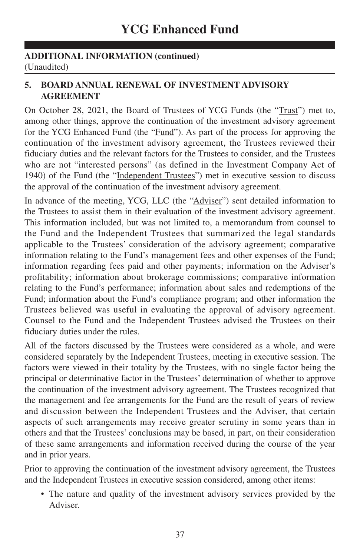(Unaudited)

## **5. BOARD ANNUAL RENEWAL OF INVESTMENT ADVISORY AGREEMENT**

On October 28, 2021, the Board of Trustees of YCG Funds (the "Trust") met to, among other things, approve the continuation of the investment advisory agreement for the YCG Enhanced Fund (the "Fund"). As part of the process for approving the continuation of the investment advisory agreement, the Trustees reviewed their fiduciary duties and the relevant factors for the Trustees to consider, and the Trustees who are not "interested persons" (as defined in the Investment Company Act of 1940) of the Fund (the "Independent Trustees") met in executive session to discuss the approval of the continuation of the investment advisory agreement.

In advance of the meeting, YCG, LLC (the "Adviser") sent detailed information to the Trustees to assist them in their evaluation of the investment advisory agreement. This information included, but was not limited to, a memorandum from counsel to the Fund and the Independent Trustees that summarized the legal standards applicable to the Trustees' consideration of the advisory agreement; comparative information relating to the Fund's management fees and other expenses of the Fund; information regarding fees paid and other payments; information on the Adviser's profitability; information about brokerage commissions; comparative information relating to the Fund's performance; information about sales and redemptions of the Fund; information about the Fund's compliance program; and other information the Trustees believed was useful in evaluating the approval of advisory agreement. Counsel to the Fund and the Independent Trustees advised the Trustees on their fiduciary duties under the rules.

All of the factors discussed by the Trustees were considered as a whole, and were considered separately by the Independent Trustees, meeting in executive session. The factors were viewed in their totality by the Trustees, with no single factor being the principal or determinative factor in the Trustees' determination of whether to approve the continuation of the investment advisory agreement. The Trustees recognized that the management and fee arrangements for the Fund are the result of years of review and discussion between the Independent Trustees and the Adviser, that certain aspects of such arrangements may receive greater scrutiny in some years than in others and that the Trustees' conclusions may be based, in part, on their consideration of these same arrangements and information received during the course of the year and in prior years.

Prior to approving the continuation of the investment advisory agreement, the Trustees and the Independent Trustees in executive session considered, among other items:

• The nature and quality of the investment advisory services provided by the Adviser.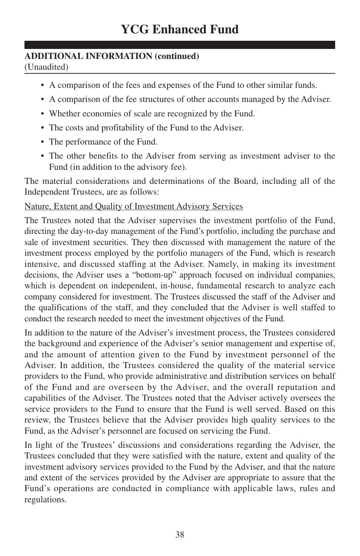(Unaudited)

- A comparison of the fees and expenses of the Fund to other similar funds.
- A comparison of the fee structures of other accounts managed by the Adviser.
- Whether economies of scale are recognized by the Fund.
- The costs and profitability of the Fund to the Adviser.
- The performance of the Fund.
- The other benefits to the Adviser from serving as investment adviser to the Fund (in addition to the advisory fee).

The material considerations and determinations of the Board, including all of the Independent Trustees, are as follows:

Nature, Extent and Quality of Investment Advisory Services

The Trustees noted that the Adviser supervises the investment portfolio of the Fund, directing the day-to-day management of the Fund's portfolio, including the purchase and sale of investment securities. They then discussed with management the nature of the investment process employed by the portfolio managers of the Fund, which is research intensive, and discussed staffing at the Adviser. Namely, in making its investment decisions, the Adviser uses a "bottom-up" approach focused on individual companies, which is dependent on independent, in-house, fundamental research to analyze each company considered for investment. The Trustees discussed the staff of the Adviser and the qualifications of the staff, and they concluded that the Adviser is well staffed to conduct the research needed to meet the investment objectives of the Fund.

In addition to the nature of the Adviser's investment process, the Trustees considered the background and experience of the Adviser's senior management and expertise of, and the amount of attention given to the Fund by investment personnel of the Adviser. In addition, the Trustees considered the quality of the material service providers to the Fund, who provide administrative and distribution services on behalf of the Fund and are overseen by the Adviser, and the overall reputation and capabilities of the Adviser. The Trustees noted that the Adviser actively oversees the service providers to the Fund to ensure that the Fund is well served. Based on this review, the Trustees believe that the Adviser provides high quality services to the Fund, as the Adviser's personnel are focused on servicing the Fund.

In light of the Trustees' discussions and considerations regarding the Adviser, the Trustees concluded that they were satisfied with the nature, extent and quality of the investment advisory services provided to the Fund by the Adviser, and that the nature and extent of the services provided by the Adviser are appropriate to assure that the Fund's operations are conducted in compliance with applicable laws, rules and regulations.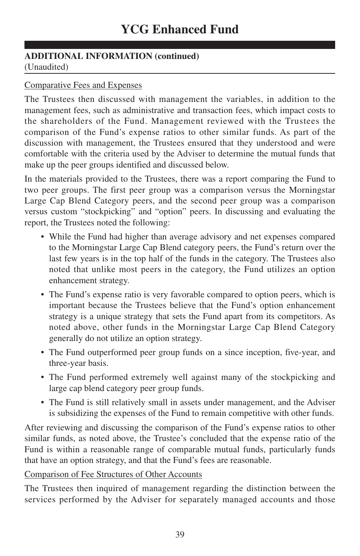(Unaudited)

## Comparative Fees and Expenses

The Trustees then discussed with management the variables, in addition to the management fees, such as administrative and transaction fees, which impact costs to the shareholders of the Fund. Management reviewed with the Trustees the comparison of the Fund's expense ratios to other similar funds. As part of the discussion with management, the Trustees ensured that they understood and were comfortable with the criteria used by the Adviser to determine the mutual funds that make up the peer groups identified and discussed below.

In the materials provided to the Trustees, there was a report comparing the Fund to two peer groups. The first peer group was a comparison versus the Morningstar Large Cap Blend Category peers, and the second peer group was a comparison versus custom "stockpicking" and "option" peers. In discussing and evaluating the report, the Trustees noted the following:

- While the Fund had higher than average advisory and net expenses compared to the Morningstar Large Cap Blend category peers, the Fund's return over the last few years is in the top half of the funds in the category. The Trustees also noted that unlike most peers in the category, the Fund utilizes an option enhancement strategy.
- The Fund's expense ratio is very favorable compared to option peers, which is important because the Trustees believe that the Fund's option enhancement strategy is a unique strategy that sets the Fund apart from its competitors. As noted above, other funds in the Morningstar Large Cap Blend Category generally do not utilize an option strategy.
- The Fund outperformed peer group funds on a since inception, five-year, and three-year basis.
- The Fund performed extremely well against many of the stockpicking and large cap blend category peer group funds.
- The Fund is still relatively small in assets under management, and the Adviser is subsidizing the expenses of the Fund to remain competitive with other funds.

After reviewing and discussing the comparison of the Fund's expense ratios to other similar funds, as noted above, the Trustee's concluded that the expense ratio of the Fund is within a reasonable range of comparable mutual funds, particularly funds that have an option strategy, and that the Fund's fees are reasonable.

## Comparison of Fee Structures of Other Accounts

The Trustees then inquired of management regarding the distinction between the services performed by the Adviser for separately managed accounts and those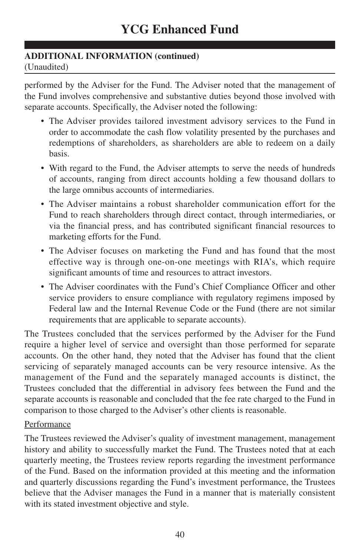(Unaudited)

performed by the Adviser for the Fund. The Adviser noted that the management of the Fund involves comprehensive and substantive duties beyond those involved with separate accounts. Specifically, the Adviser noted the following:

- The Adviser provides tailored investment advisory services to the Fund in order to accommodate the cash flow volatility presented by the purchases and redemptions of shareholders, as shareholders are able to redeem on a daily basis.
- With regard to the Fund, the Adviser attempts to serve the needs of hundreds of accounts, ranging from direct accounts holding a few thousand dollars to the large omnibus accounts of intermediaries.
- The Adviser maintains a robust shareholder communication effort for the Fund to reach shareholders through direct contact, through intermediaries, or via the financial press, and has contributed significant financial resources to marketing efforts for the Fund.
- The Adviser focuses on marketing the Fund and has found that the most effective way is through one-on-one meetings with RIA's, which require significant amounts of time and resources to attract investors.
- The Adviser coordinates with the Fund's Chief Compliance Officer and other service providers to ensure compliance with regulatory regimens imposed by Federal law and the Internal Revenue Code or the Fund (there are not similar requirements that are applicable to separate accounts).

The Trustees concluded that the services performed by the Adviser for the Fund require a higher level of service and oversight than those performed for separate accounts. On the other hand, they noted that the Adviser has found that the client servicing of separately managed accounts can be very resource intensive. As the management of the Fund and the separately managed accounts is distinct, the Trustees concluded that the differential in advisory fees between the Fund and the separate accounts is reasonable and concluded that the fee rate charged to the Fund in comparison to those charged to the Adviser's other clients is reasonable.

## Performance

The Trustees reviewed the Adviser's quality of investment management, management history and ability to successfully market the Fund. The Trustees noted that at each quarterly meeting, the Trustees review reports regarding the investment performance of the Fund. Based on the information provided at this meeting and the information and quarterly discussions regarding the Fund's investment performance, the Trustees believe that the Adviser manages the Fund in a manner that is materially consistent with its stated investment objective and style.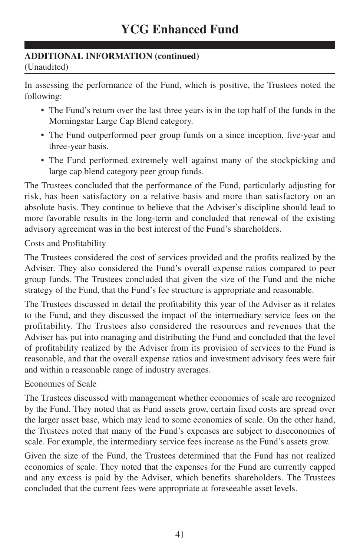(Unaudited)

In assessing the performance of the Fund, which is positive, the Trustees noted the following:

- The Fund's return over the last three years is in the top half of the funds in the Morningstar Large Cap Blend category.
- The Fund outperformed peer group funds on a since inception, five-year and three-year basis.
- The Fund performed extremely well against many of the stockpicking and large cap blend category peer group funds.

The Trustees concluded that the performance of the Fund, particularly adjusting for risk, has been satisfactory on a relative basis and more than satisfactory on an absolute basis. They continue to believe that the Adviser's discipline should lead to more favorable results in the long-term and concluded that renewal of the existing advisory agreement was in the best interest of the Fund's shareholders.

## Costs and Profitability

The Trustees considered the cost of services provided and the profits realized by the Adviser. They also considered the Fund's overall expense ratios compared to peer group funds. The Trustees concluded that given the size of the Fund and the niche strategy of the Fund, that the Fund's fee structure is appropriate and reasonable.

The Trustees discussed in detail the profitability this year of the Adviser as it relates to the Fund, and they discussed the impact of the intermediary service fees on the profitability. The Trustees also considered the resources and revenues that the Adviser has put into managing and distributing the Fund and concluded that the level of profitability realized by the Adviser from its provision of services to the Fund is reasonable, and that the overall expense ratios and investment advisory fees were fair and within a reasonable range of industry averages.

## Economies of Scale

The Trustees discussed with management whether economies of scale are recognized by the Fund. They noted that as Fund assets grow, certain fixed costs are spread over the larger asset base, which may lead to some economies of scale. On the other hand, the Trustees noted that many of the Fund's expenses are subject to diseconomies of scale. For example, the intermediary service fees increase as the Fund's assets grow.

Given the size of the Fund, the Trustees determined that the Fund has not realized economies of scale. They noted that the expenses for the Fund are currently capped and any excess is paid by the Adviser, which benefits shareholders. The Trustees concluded that the current fees were appropriate at foreseeable asset levels.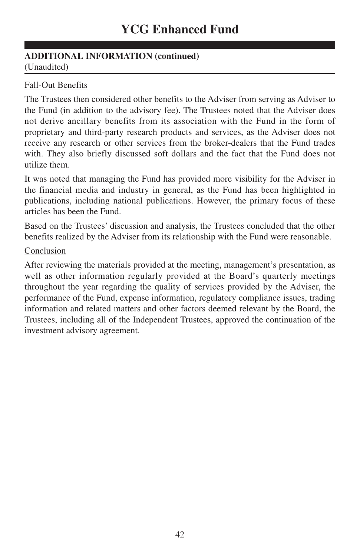(Unaudited)

### Fall-Out Benefits

The Trustees then considered other benefits to the Adviser from serving as Adviser to the Fund (in addition to the advisory fee). The Trustees noted that the Adviser does not derive ancillary benefits from its association with the Fund in the form of proprietary and third-party research products and services, as the Adviser does not receive any research or other services from the broker-dealers that the Fund trades with. They also briefly discussed soft dollars and the fact that the Fund does not utilize them.

It was noted that managing the Fund has provided more visibility for the Adviser in the financial media and industry in general, as the Fund has been highlighted in publications, including national publications. However, the primary focus of these articles has been the Fund.

Based on the Trustees' discussion and analysis, the Trustees concluded that the other benefits realized by the Adviser from its relationship with the Fund were reasonable.

#### **Conclusion**

After reviewing the materials provided at the meeting, management's presentation, as well as other information regularly provided at the Board's quarterly meetings throughout the year regarding the quality of services provided by the Adviser, the performance of the Fund, expense information, regulatory compliance issues, trading information and related matters and other factors deemed relevant by the Board, the Trustees, including all of the Independent Trustees, approved the continuation of the investment advisory agreement.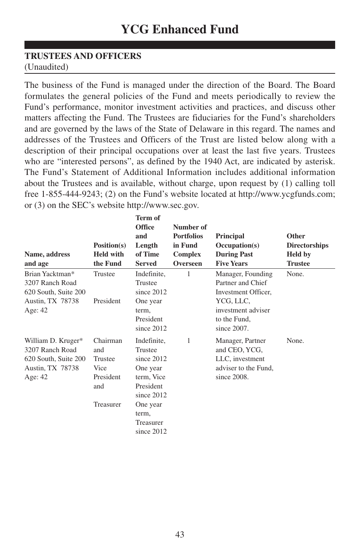## **TRUSTEES AND OFFICERS**

(Unaudited)

The business of the Fund is managed under the direction of the Board. The Board formulates the general policies of the Fund and meets periodically to review the Fund's performance, monitor investment activities and practices, and discuss other matters affecting the Fund. The Trustees are fiduciaries for the Fund's shareholders and are governed by the laws of the State of Delaware in this regard. The names and addresses of the Trustees and Officers of the Trust are listed below along with a description of their principal occupations over at least the last five years. Trustees who are "interested persons", as defined by the 1940 Act, are indicated by asterisk. The Fund's Statement of Additional Information includes additional information about the Trustees and is available, without charge, upon request by (1) calling toll free 1-855-444-9243; (2) on the Fund's website located at http://www.ycgfunds.com; or (3) on the SEC's website http://www.sec.gov.

| Name, address<br>and age                                                                       | Position(s)<br><b>Held with</b><br>the Fund                         | Term of<br><b>Office</b><br>and<br>Length<br>of Time<br><b>Served</b>                                                                       | Number of<br><b>Portfolios</b><br>in Fund<br><b>Complex</b><br>Overseen | <b>Principal</b><br>Occupation(s)<br><b>During Past</b><br><b>Five Years</b>                                                       | Other<br><b>Directorships</b><br><b>Held</b> by<br><b>Trustee</b> |
|------------------------------------------------------------------------------------------------|---------------------------------------------------------------------|---------------------------------------------------------------------------------------------------------------------------------------------|-------------------------------------------------------------------------|------------------------------------------------------------------------------------------------------------------------------------|-------------------------------------------------------------------|
| Brian Yacktman*<br>3207 Ranch Road<br>620 South, Suite 200<br>Austin, TX 78738<br>Age: 42      | Trustee<br>President                                                | Indefinite,<br>Trustee<br>since 2012<br>One year<br>term,<br>President<br>since 2012                                                        | 1                                                                       | Manager, Founding<br>Partner and Chief<br>Investment Officer,<br>YCG, LLC,<br>investment adviser<br>to the Fund,<br>since $2007$ . | None.                                                             |
| William D. Kruger*<br>3207 Ranch Road<br>620 South, Suite 200<br>Austin, TX 78738<br>Age: $42$ | Chairman<br>and<br>Trustee<br>Vice<br>President<br>and<br>Treasurer | Indefinite,<br>Trustee<br>since $2012$<br>One year<br>term, Vice<br>President<br>since 2012<br>One year<br>term,<br>Treasurer<br>since 2012 | 1                                                                       | Manager, Partner<br>and CEO, YCG,<br>LLC, investment<br>adviser to the Fund,<br>since 2008.                                        | None.                                                             |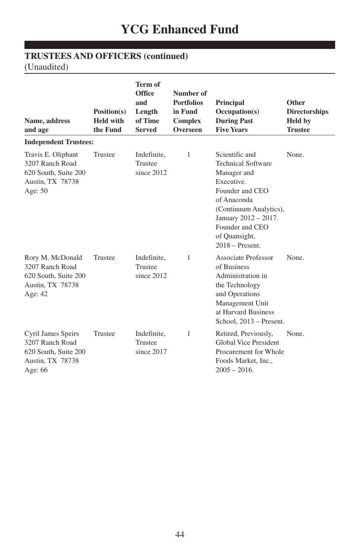## **TRUSTEES AND OFFICERS (continued)**

(Unaudited)

| Name, address<br>and age                                                                       | Position(s)<br><b>Held with</b><br>the Fund | <b>Term of</b><br><b>Office</b><br>and<br>Length<br>of Time<br><b>Served</b> | Number of<br><b>Portfolios</b><br>in Fund<br><b>Complex</b><br>Overseen | <b>Principal</b><br>Occupation(s)<br><b>During Past</b><br><b>Five Years</b>                                                                                                                                          | Other<br><b>Directorships</b><br><b>Held</b> by<br><b>Trustee</b> |
|------------------------------------------------------------------------------------------------|---------------------------------------------|------------------------------------------------------------------------------|-------------------------------------------------------------------------|-----------------------------------------------------------------------------------------------------------------------------------------------------------------------------------------------------------------------|-------------------------------------------------------------------|
| <b>Independent Trustees:</b>                                                                   |                                             |                                                                              |                                                                         |                                                                                                                                                                                                                       |                                                                   |
| Travis E. Oliphant<br>3207 Ranch Road<br>620 South, Suite 200<br>Austin, TX 78738<br>Age: $50$ | Trustee                                     | Indefinite,<br>Trustee<br>since 2012                                         | 1                                                                       | Scientific and<br><b>Technical Software</b><br>Manager and<br>Executive.<br>Founder and CEO<br>of Anaconda<br>(Continuum Analytics),<br>January 2012 - 2017.<br>Founder and CEO<br>of Quansight,<br>$2018 -$ Present. | None.                                                             |
| Rory M. McDonald<br>3207 Ranch Road<br>620 South, Suite 200<br>Austin, TX 78738<br>Age: 42     | Trustee                                     | Indefinite.<br>Trustee<br>since 2012                                         | 1                                                                       | <b>Associate Professor</b><br>of Business<br>Administration in<br>the Technology<br>and Operations<br>Management Unit<br>at Harvard Business<br>School, 2013 - Present.                                               | None.                                                             |
| Cyril James Speirs<br>3207 Ranch Road<br>620 South, Suite 200<br>Austin, TX 78738<br>Age: 66   | Trustee                                     | Indefinite,<br>Trustee<br>since 2017                                         | 1                                                                       | Retired, Previously,<br><b>Global Vice President</b><br>Procurement for Whole<br>Foods Market, Inc.,<br>$2005 - 2016.$                                                                                                | None.                                                             |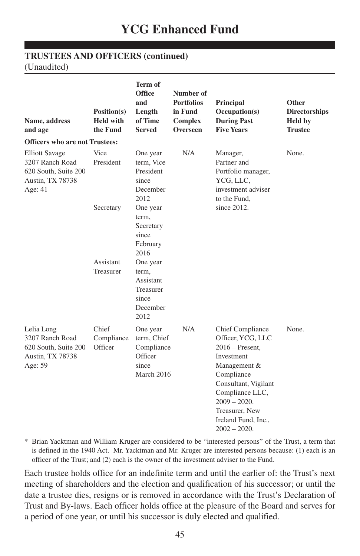#### **TRUSTEES AND OFFICERS (continued)**

(Unaudited)

| Name, address<br>and age                                                                        | Position(s)<br><b>Held with</b><br>the Fund | <b>Term of</b><br><b>Office</b><br>and<br>Length<br>of Time<br><b>Served</b> | Number of<br><b>Portfolios</b><br>in Fund<br><b>Complex</b><br>Overseen | Principal<br>Occupation(s)<br><b>During Past</b><br><b>Five Years</b>                                                                                                                                                          | Other<br><b>Directorships</b><br><b>Held</b> by<br><b>Trustee</b> |
|-------------------------------------------------------------------------------------------------|---------------------------------------------|------------------------------------------------------------------------------|-------------------------------------------------------------------------|--------------------------------------------------------------------------------------------------------------------------------------------------------------------------------------------------------------------------------|-------------------------------------------------------------------|
| <b>Officers who are not Trustees:</b>                                                           |                                             |                                                                              |                                                                         |                                                                                                                                                                                                                                |                                                                   |
| <b>Elliott Savage</b><br>3207 Ranch Road<br>620 South, Suite 200<br>Austin, TX 78738<br>Age: 41 | Vice<br>President                           | One year<br>term, Vice<br>President<br>since<br>December<br>2012             | N/A                                                                     | Manager,<br>Partner and<br>Portfolio manager,<br>YCG, LLC,<br>investment adviser<br>to the Fund.                                                                                                                               | None.                                                             |
|                                                                                                 | Secretary                                   | One year<br>term,<br>Secretary<br>since<br>February<br>2016                  |                                                                         | since $2012$ .                                                                                                                                                                                                                 |                                                                   |
|                                                                                                 | Assistant<br>Treasurer                      | One year<br>term,<br>Assistant<br>Treasurer<br>since<br>December<br>2012     |                                                                         |                                                                                                                                                                                                                                |                                                                   |
| Lelia Long<br>3207 Ranch Road<br>620 South, Suite 200<br>Austin, TX 78738<br>Age: 59            | Chief<br>Compliance<br>Officer              | One year<br>term, Chief<br>Compliance<br>Officer<br>since<br>March 2016      | N/A                                                                     | Chief Compliance<br>Officer, YCG, LLC<br>$2016$ – Present.<br>Investment<br>Management &<br>Compliance<br>Consultant, Vigilant<br>Compliance LLC,<br>$2009 - 2020.$<br>Treasurer, New<br>Ireland Fund, Inc.,<br>$2002 - 2020.$ | None.                                                             |

\* Brian Yacktman and William Kruger are considered to be "interested persons" of the Trust, a term that is defined in the 1940 Act. Mr. Yacktman and Mr. Kruger are interested persons because: (1) each is an officer of the Trust; and (2) each is the owner of the investment adviser to the Fund.

Each trustee holds office for an indefinite term and until the earlier of: the Trust's next meeting of shareholders and the election and qualification of his successor; or until the date a trustee dies, resigns or is removed in accordance with the Trust's Declaration of Trust and By-laws. Each officer holds office at the pleasure of the Board and serves for a period of one year, or until his successor is duly elected and qualified.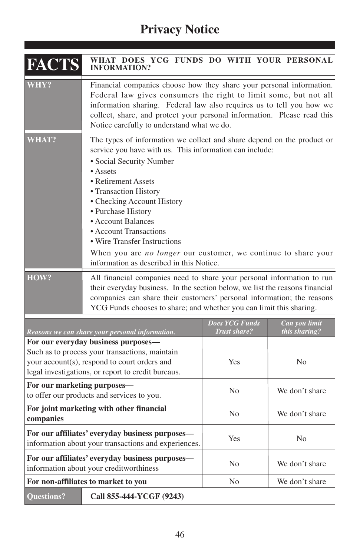# **Privacy Notice**

| <b>FACTS</b>                                                                                            | WHAT DOES YCG FUNDS DO WITH YOUR PERSONAL<br><b>INFORMATION?</b>                                                                                                                                                                                                                                                                                                                                                                                                            |                                              |                                |  |
|---------------------------------------------------------------------------------------------------------|-----------------------------------------------------------------------------------------------------------------------------------------------------------------------------------------------------------------------------------------------------------------------------------------------------------------------------------------------------------------------------------------------------------------------------------------------------------------------------|----------------------------------------------|--------------------------------|--|
| WHY?                                                                                                    | Financial companies choose how they share your personal information.<br>Federal law gives consumers the right to limit some, but not all<br>information sharing. Federal law also requires us to tell you how we<br>collect, share, and protect your personal information. Please read this<br>Notice carefully to understand what we do.                                                                                                                                   |                                              |                                |  |
| WHAT?                                                                                                   | The types of information we collect and share depend on the product or<br>service you have with us. This information can include:<br>· Social Security Number<br>• Assets<br>• Retirement Assets<br>· Transaction History<br>• Checking Account History<br>· Purchase History<br>• Account Balances<br>• Account Transactions<br>• Wire Transfer Instructions<br>When you are no longer our customer, we continue to share your<br>information as described in this Notice. |                                              |                                |  |
| HOW?                                                                                                    | All financial companies need to share your personal information to run<br>their everyday business. In the section below, we list the reasons financial<br>companies can share their customers' personal information; the reasons<br>YCG Funds chooses to share; and whether you can limit this sharing.                                                                                                                                                                     |                                              |                                |  |
|                                                                                                         | Reasons we can share your personal information.                                                                                                                                                                                                                                                                                                                                                                                                                             | <b>Does YCG Funds</b><br><b>Trust share?</b> | Can you limit<br>this sharing? |  |
|                                                                                                         | For our everyday business purposes-<br>Such as to process your transactions, maintain<br>your account(s), respond to court orders and<br>legal investigations, or report to credit bureaus.                                                                                                                                                                                                                                                                                 | Yes                                          | No                             |  |
| For our marketing purposes-<br>to offer our products and services to you.                               |                                                                                                                                                                                                                                                                                                                                                                                                                                                                             | N <sub>o</sub>                               | We don't share                 |  |
| For joint marketing with other financial<br>companies                                                   |                                                                                                                                                                                                                                                                                                                                                                                                                                                                             | N <sub>o</sub>                               | We don't share                 |  |
| For our affiliates' everyday business purposes-<br>information about your transactions and experiences. |                                                                                                                                                                                                                                                                                                                                                                                                                                                                             | Yes                                          | No                             |  |
| For our affiliates' everyday business purposes-<br>information about your creditworthiness              |                                                                                                                                                                                                                                                                                                                                                                                                                                                                             | N <sub>0</sub>                               | We don't share                 |  |
| For non-affiliates to market to you                                                                     |                                                                                                                                                                                                                                                                                                                                                                                                                                                                             | N <sub>o</sub>                               | We don't share                 |  |
| <b>Questions?</b>                                                                                       | Call 855-444-YCGF (9243)                                                                                                                                                                                                                                                                                                                                                                                                                                                    |                                              |                                |  |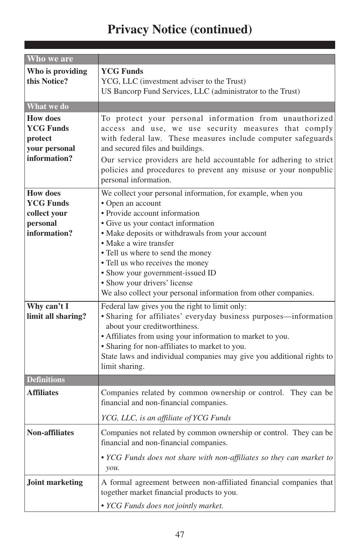# **Privacy Notice (continued)**

| Who we are                                                                      |                                                                                                                                                                                                                                                                                                                                                                                                                                                       |
|---------------------------------------------------------------------------------|-------------------------------------------------------------------------------------------------------------------------------------------------------------------------------------------------------------------------------------------------------------------------------------------------------------------------------------------------------------------------------------------------------------------------------------------------------|
| Who is providing<br>this Notice?                                                | <b>YCG Funds</b><br>YCG, LLC (investment adviser to the Trust)<br>US Bancorp Fund Services, LLC (administrator to the Trust)                                                                                                                                                                                                                                                                                                                          |
| What we do                                                                      |                                                                                                                                                                                                                                                                                                                                                                                                                                                       |
| <b>How does</b><br><b>YCG Funds</b><br>protect<br>your personal<br>information? | To protect your personal information from unauthorized<br>access and use, we use security measures that comply<br>with federal law. These measures include computer safeguards<br>and secured files and buildings.<br>Our service providers are held accountable for adhering to strict<br>policies and procedures to prevent any misuse or your nonpublic<br>personal information.                                                                   |
| <b>How does</b><br><b>YCG Funds</b><br>collect your<br>personal<br>information? | We collect your personal information, for example, when you<br>• Open an account<br>• Provide account information<br>• Give us your contact information<br>• Make deposits or withdrawals from your account<br>• Make a wire transfer<br>• Tell us where to send the money<br>• Tell us who receives the money<br>• Show your government-issued ID<br>• Show your drivers' license<br>We also collect your personal information from other companies. |
| Why can't I<br>limit all sharing?                                               | Federal law gives you the right to limit only:<br>· Sharing for affiliates' everyday business purposes—information<br>about your creditworthiness.<br>• Affiliates from using your information to market to you.<br>• Sharing for non-affiliates to market to you.<br>State laws and individual companies may give you additional rights to<br>limit sharing.                                                                                         |
| <b>Definitions</b>                                                              |                                                                                                                                                                                                                                                                                                                                                                                                                                                       |
| <b>Affiliates</b>                                                               | Companies related by common ownership or control. They can be<br>financial and non-financial companies.<br>YCG, LLC, is an affiliate of YCG Funds                                                                                                                                                                                                                                                                                                     |
| <b>Non-affiliates</b>                                                           | Companies not related by common ownership or control. They can be<br>financial and non-financial companies.<br>• YCG Funds does not share with non-affiliates so they can market to<br>you.                                                                                                                                                                                                                                                           |
| <b>Joint marketing</b>                                                          | A formal agreement between non-affiliated financial companies that<br>together market financial products to you.<br>• YCG Funds does not jointly market.                                                                                                                                                                                                                                                                                              |
|                                                                                 |                                                                                                                                                                                                                                                                                                                                                                                                                                                       |